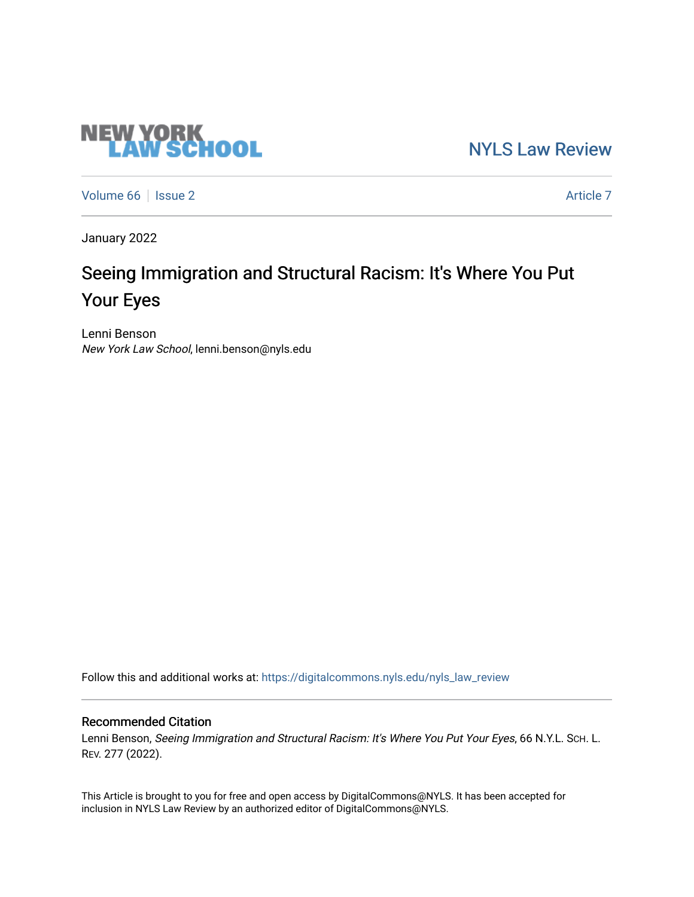# **NEW YORK<br>LAW SCHOOL**

[NYLS Law Review](https://digitalcommons.nyls.edu/nyls_law_review) 

[Volume 66](https://digitalcommons.nyls.edu/nyls_law_review/vol66) | [Issue 2](https://digitalcommons.nyls.edu/nyls_law_review/vol66/iss2) Article 7

January 2022

# Seeing Immigration and Structural Racism: It's Where You Put Your Eyes

Lenni Benson New York Law School, lenni.benson@nyls.edu

Follow this and additional works at: [https://digitalcommons.nyls.edu/nyls\\_law\\_review](https://digitalcommons.nyls.edu/nyls_law_review?utm_source=digitalcommons.nyls.edu%2Fnyls_law_review%2Fvol66%2Fiss2%2F7&utm_medium=PDF&utm_campaign=PDFCoverPages) 

# Recommended Citation

Lenni Benson, Seeing Immigration and Structural Racism: It's Where You Put Your Eyes, 66 N.Y.L. Sch. L. REV. 277 (2022).

This Article is brought to you for free and open access by DigitalCommons@NYLS. It has been accepted for inclusion in NYLS Law Review by an authorized editor of DigitalCommons@NYLS.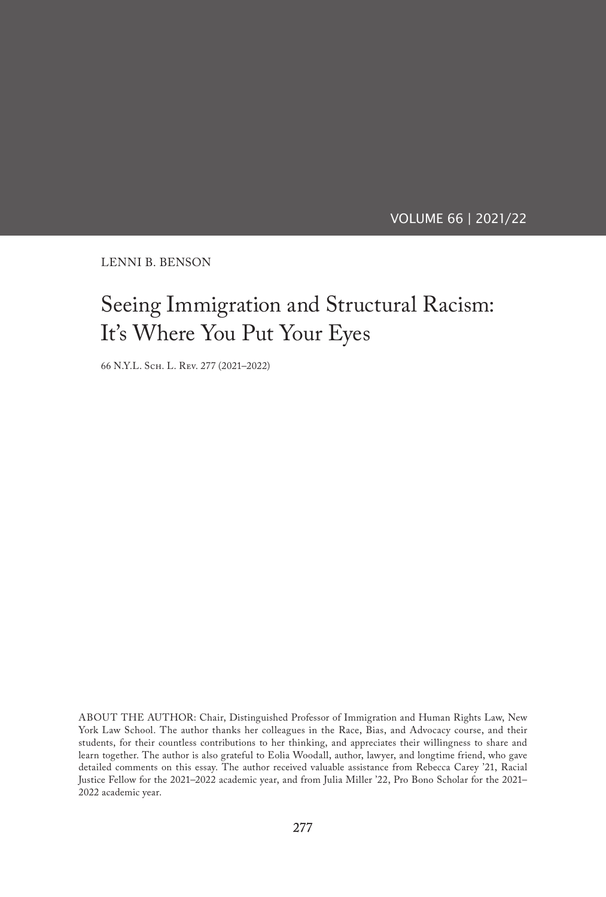VOLUME 66 | 2021/22

LENNI B. BENSON

# Seeing Immigration and Structural Racism: It's Where You Put Your Eyes

66 N.Y.L. Sch. L. Rev. 277 (2021–2022)

ABOUT THE AUTHOR: Chair, Distinguished Professor of Immigration and Human Rights Law, New York Law School. The author thanks her colleagues in the Race, Bias, and Advocacy course, and their students, for their countless contributions to her thinking, and appreciates their willingness to share and learn together. The author is also grateful to Eolia Woodall, author, lawyer, and longtime friend, who gave detailed comments on this essay. The author received valuable assistance from Rebecca Carey '21, Racial Justice Fellow for the 2021–2022 academic year, and from Julia Miller '22, Pro Bono Scholar for the 2021– 2022 academic year.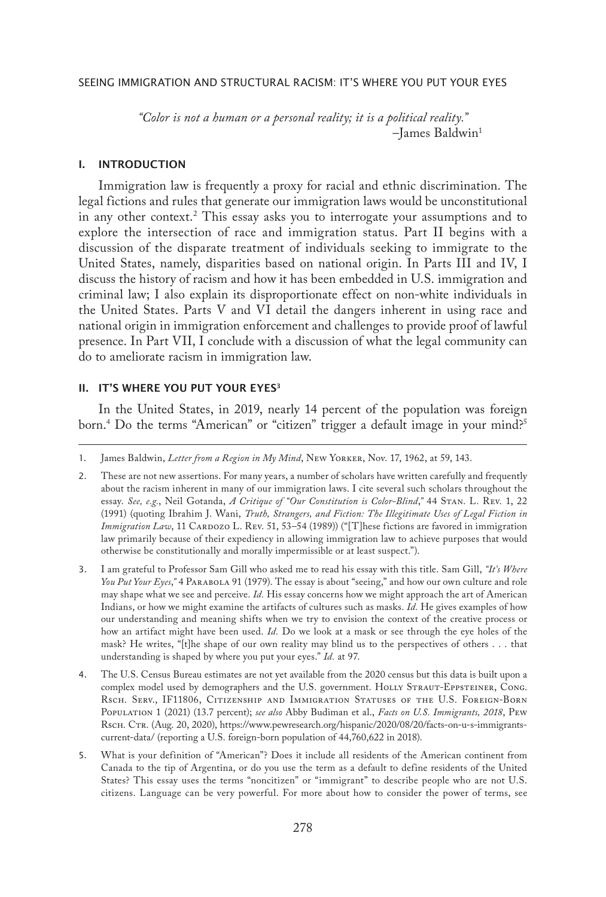*"Color is not a human or a personal reality; it is a political reality."* –James Baldwin1

# I. INTRODUCTION

Immigration law is frequently a proxy for racial and ethnic discrimination. The legal fictions and rules that generate our immigration laws would be unconstitutional in any other context.2 This essay asks you to interrogate your assumptions and to explore the intersection of race and immigration status. Part II begins with a discussion of the disparate treatment of individuals seeking to immigrate to the United States, namely, disparities based on national origin. In Parts III and IV, I discuss the history of racism and how it has been embedded in U.S. immigration and criminal law; I also explain its disproportionate effect on non-white individuals in the United States. Parts V and VI detail the dangers inherent in using race and national origin in immigration enforcement and challenges to provide proof of lawful presence. In Part VII, I conclude with a discussion of what the legal community can do to ameliorate racism in immigration law.

# II. IT'S WHERE YOU PUT YOUR EYES<sup>3</sup>

In the United States, in 2019, nearly 14 percent of the population was foreign born.4 Do the terms "American" or "citizen" trigger a default image in your mind?5

- 3. I am grateful to Professor Sam Gill who asked me to read his essay with this title. Sam Gill, *"It's Where You Put Your Eyes*,*"* 4 Parabola 91 (1979). The essay is about "seeing," and how our own culture and role may shape what we see and perceive. *Id.* His essay concerns how we might approach the art of American Indians, or how we might examine the artifacts of cultures such as masks. *Id.* He gives examples of how our understanding and meaning shifts when we try to envision the context of the creative process or how an artifact might have been used. *Id.* Do we look at a mask or see through the eye holes of the mask? He writes, "[t]he shape of our own reality may blind us to the perspectives of others . . . that understanding is shaped by where you put your eyes." *Id.* at 97.
- 4. The U.S. Census Bureau estimates are not yet available from the 2020 census but this data is built upon a complex model used by demographers and the U.S. government. HOLLY STRAUT-EPPSTEINER, CONG. Rsch. Serv., IF11806, Citizenship and Immigration Statuses of the U.S. Foreign-Born Population 1 (2021) (13.7 percent); *see also* Abby Budiman et al., *Facts on U.S. Immigrants, 2018*, Pew Rsch. Ctr. (Aug. 20, 2020), https://www.pewresearch.org/hispanic/2020/08/20/facts-on-u-s-immigrantscurrent-data/ (reporting a U.S. foreign-born population of 44,760,622 in 2018).
- 5. What is your definition of "American"? Does it include all residents of the American continent from Canada to the tip of Argentina, or do you use the term as a default to define residents of the United States? This essay uses the terms "noncitizen" or "immigrant" to describe people who are not U.S. citizens. Language can be very powerful. For more about how to consider the power of terms, see

<sup>1.</sup> James Baldwin, *Letter from a Region in My Mind*, New Yorker, Nov. 17, 1962, at 59, 143.

<sup>2.</sup> These are not new assertions. For many years, a number of scholars have written carefully and frequently about the racism inherent in many of our immigration laws. I cite several such scholars throughout the essay. *See, e.g.*, Neil Gotanda, *A Critique of "Our Constitution is Color-Blind*,*"* 44 Stan. L. Rev. 1, 22 (1991) (quoting Ibrahim J. Wani, *Truth, Strangers, and Fiction: The Illegitimate Uses of Legal Fiction in Immigration Law*, 11 CARDOZO L. REV. 51, 53–54 (1989)) ("[T]hese fictions are favored in immigration law primarily because of their expediency in allowing immigration law to achieve purposes that would otherwise be constitutionally and morally impermissible or at least suspect.").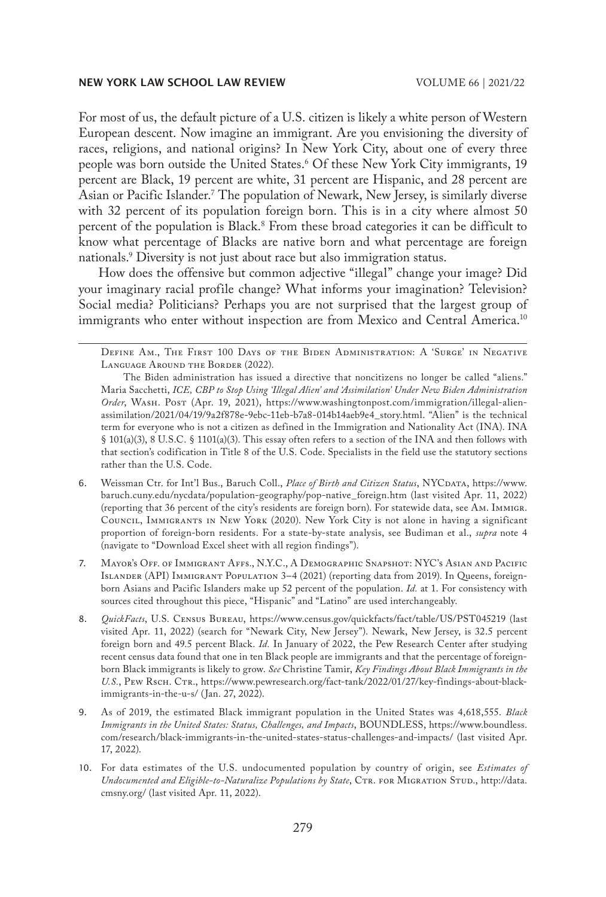For most of us, the default picture of a U.S. citizen is likely a white person of Western European descent. Now imagine an immigrant. Are you envisioning the diversity of races, religions, and national origins? In New York City, about one of every three people was born outside the United States.6 Of these New York City immigrants, 19 percent are Black, 19 percent are white, 31 percent are Hispanic, and 28 percent are Asian or Pacific Islander.7 The population of Newark, New Jersey, is similarly diverse with 32 percent of its population foreign born. This is in a city where almost 50 percent of the population is Black.8 From these broad categories it can be difficult to know what percentage of Blacks are native born and what percentage are foreign nationals.9 Diversity is not just about race but also immigration status.

How does the offensive but common adjective "illegal" change your image? Did your imaginary racial profile change? What informs your imagination? Television? Social media? Politicians? Perhaps you are not surprised that the largest group of immigrants who enter without inspection are from Mexico and Central America.<sup>10</sup>

Define Am., The First 100 Days of the Biden Administration: A 'Surge' in Negative Language Around the Border (2022).

- 6. Weissman Ctr. for Int'l Bus., Baruch Coll., *Place of Birth and Citizen Status*, NYCDATA, https://www. baruch.cuny.edu/nycdata/population-geography/pop-native\_foreign.htm (last visited Apr. 11, 2022) (reporting that 36 percent of the city's residents are foreign born). For statewide data, see Am. Immigr. Council, Immigrants in New York (2020). New York City is not alone in having a significant proportion of foreign-born residents. For a state-by-state analysis, see Budiman et al., *supra* note 4 (navigate to "Download Excel sheet with all region findings").
- 7. Mayor's Off. of Immigrant Affs., N.Y.C., A Demographic Snapshot: NYC's Asian and Pacific Islander (API) Immigrant Population 3–4 (2021) (reporting data from 2019). In Queens, foreignborn Asians and Pacific Islanders make up 52 percent of the population. *Id.* at 1. For consistency with sources cited throughout this piece, "Hispanic" and "Latino" are used interchangeably.
- 8. *QuickFacts*, U.S. Census Bureau, https://www.census.gov/quickfacts/fact/table/US/PST045219 (last visited Apr. 11, 2022) (search for "Newark City, New Jersey"). Newark, New Jersey, is 32.5 percent foreign born and 49.5 percent Black. *Id.* In January of 2022, the Pew Research Center after studying recent census data found that one in ten Black people are immigrants and that the percentage of foreignborn Black immigrants is likely to grow. *See* Christine Tamir, *Key Findings About Black Immigrants in the*  U.S., PEW Rsch. CTR., https://www.pewresearch.org/fact-tank/2022/01/27/key-findings-about-blackimmigrants-in-the-u-s/ (Jan. 27, 2022).
- 9. As of 2019, the estimated Black immigrant population in the United States was 4,618,555. *Black Immigrants in the United States: Status, Challenges, and Impacts*, BOUNDLESS, https://www.boundless. com/research/black-immigrants-in-the-united-states-status-challenges-and-impacts/ (last visited Apr. 17, 2022).
- 10. For data estimates of the U.S. undocumented population by country of origin, see *Estimates of*  Undocumented and Eligible-to-Naturalize Populations by State, CTR. FOR MIGRATION STUD., http://data. cmsny.org/ (last visited Apr. 11, 2022).

The Biden administration has issued a directive that noncitizens no longer be called "aliens." Maria Sacchetti, *ICE, CBP to Stop Using 'Illegal Alien' and 'Assimilation' Under New Biden Administration*  Order, WASH. Post (Apr. 19, 2021), https://www.washingtonpost.com/immigration/illegal-alienassimilation/2021/04/19/9a2f878e-9ebc-11eb-b7a8-014b14aeb9e4\_story.html. "Alien" is the technical term for everyone who is not a citizen as defined in the Immigration and Nationality Act (INA). INA § 101(a)(3), 8 U.S.C. § 1101(a)(3). This essay often refers to a section of the INA and then follows with that section's codification in Title 8 of the U.S. Code. Specialists in the field use the statutory sections rather than the U.S. Code.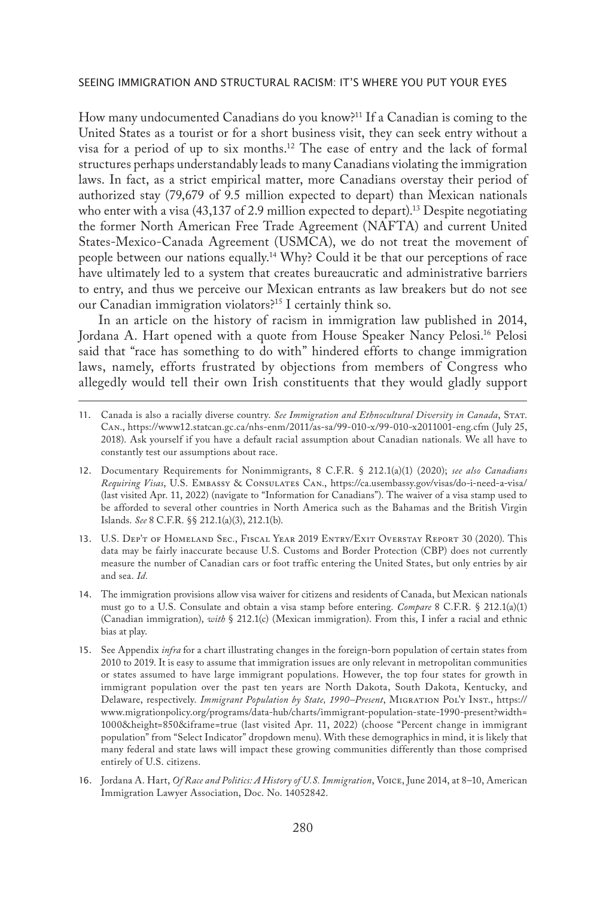How many undocumented Canadians do you know?<sup>11</sup> If a Canadian is coming to the United States as a tourist or for a short business visit, they can seek entry without a visa for a period of up to six months.12 The ease of entry and the lack of formal structures perhaps understandably leads to many Canadians violating the immigration laws. In fact, as a strict empirical matter, more Canadians overstay their period of authorized stay (79,679 of 9.5 million expected to depart) than Mexican nationals who enter with a visa  $(43,137)$  of 2.9 million expected to depart).<sup>13</sup> Despite negotiating the former North American Free Trade Agreement (NAFTA) and current United States-Mexico-Canada Agreement (USMCA), we do not treat the movement of people between our nations equally.14 Why? Could it be that our perceptions of race have ultimately led to a system that creates bureaucratic and administrative barriers to entry, and thus we perceive our Mexican entrants as law breakers but do not see our Canadian immigration violators?15 I certainly think so.

In an article on the history of racism in immigration law published in 2014, Jordana A. Hart opened with a quote from House Speaker Nancy Pelosi.<sup>16</sup> Pelosi said that "race has something to do with" hindered efforts to change immigration laws, namely, efforts frustrated by objections from members of Congress who allegedly would tell their own Irish constituents that they would gladly support

<sup>11.</sup> Canada is also a racially diverse country. *See Immigration and Ethnocultural Diversity in Canada*, Stat. Can., https://www12.statcan.gc.ca/nhs-enm/2011/as-sa/99-010-x/99-010-x2011001-eng.cfm (July 25, 2018). Ask yourself if you have a default racial assumption about Canadian nationals. We all have to constantly test our assumptions about race.

<sup>12.</sup> Documentary Requirements for Nonimmigrants, 8 C.F.R. § 212.1(a)(1) (2020); *see also Canadians Requiring Visas*, U.S. Embassy & Consulates Can., https://ca.usembassy.gov/visas/do-i-need-a-visa/ (last visited Apr. 11, 2022) (navigate to "Information for Canadians"). The waiver of a visa stamp used to be afforded to several other countries in North America such as the Bahamas and the British Virgin Islands. *See* 8 C.F.R. §§ 212.1(a)(3), 212.1(b).

<sup>13.</sup> U.S. Dep't of Homeland Sec., Fiscal Year 2019 Entry/Exit Overstay Report 30 (2020). This data may be fairly inaccurate because U.S. Customs and Border Protection (CBP) does not currently measure the number of Canadian cars or foot traffic entering the United States, but only entries by air and sea. *Id.*

<sup>14.</sup> The immigration provisions allow visa waiver for citizens and residents of Canada, but Mexican nationals must go to a U.S. Consulate and obtain a visa stamp before entering. *Compare* 8 C.F.R. § 212.1(a)(1) (Canadian immigration), *with* § 212.1(c) (Mexican immigration). From this, I infer a racial and ethnic bias at play.

<sup>15.</sup> See Appendix *infra* for a chart illustrating changes in the foreign-born population of certain states from 2010 to 2019. It is easy to assume that immigration issues are only relevant in metropolitan communities or states assumed to have large immigrant populations. However, the top four states for growth in immigrant population over the past ten years are North Dakota, South Dakota, Kentucky, and Delaware, respectively. *Immigrant Population by State, 1990–Present*, Migration Pol'y Inst., https:// www.migrationpolicy.org/programs/data-hub/charts/immigrant-population-state-1990-present?width= 1000&height=850&iframe=true (last visited Apr. 11, 2022) (choose "Percent change in immigrant population" from "Select Indicator" dropdown menu). With these demographics in mind, it is likely that many federal and state laws will impact these growing communities differently than those comprised entirely of U.S. citizens.

<sup>16.</sup> Jordana A. Hart, *Of Race and Politics: A History of U.S. Immigration*, Voice, June 2014, at 8–10, American Immigration Lawyer Association, Doc. No. 14052842.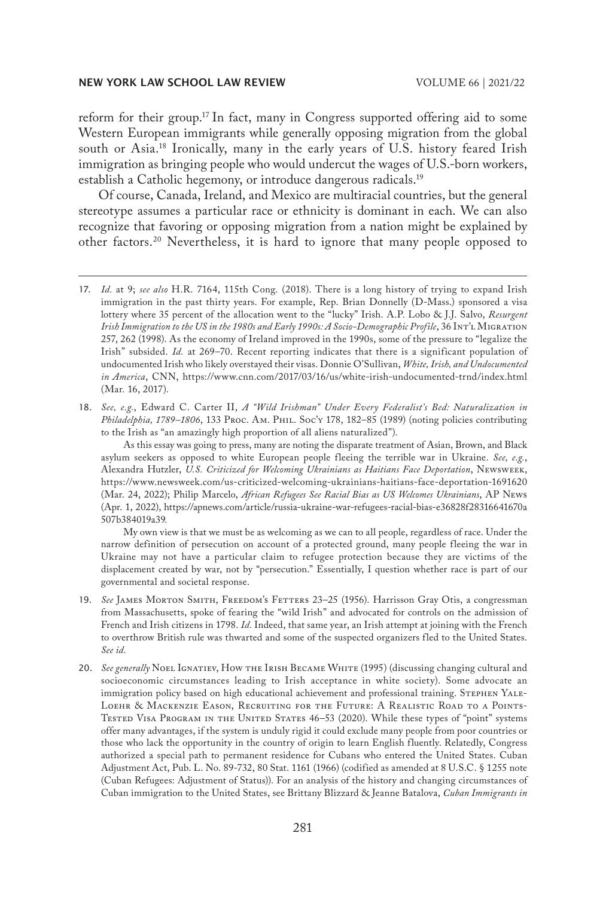reform for their group.17 In fact, many in Congress supported offering aid to some Western European immigrants while generally opposing migration from the global south or Asia.18 Ironically, many in the early years of U.S. history feared Irish immigration as bringing people who would undercut the wages of U.S.-born workers, establish a Catholic hegemony, or introduce dangerous radicals.19

Of course, Canada, Ireland, and Mexico are multiracial countries, but the general stereotype assumes a particular race or ethnicity is dominant in each. We can also recognize that favoring or opposing migration from a nation might be explained by other factors.20 Nevertheless, it is hard to ignore that many people opposed to

18. *See, e.g.*, Edward C. Carter II, *A "Wild Irishman" Under Every Federalist's Bed: Naturalization in Philadelphia, 1789–1806*, 133 Proc. Am. Phil. Soc'y 178, 182–85 (1989) (noting policies contributing to the Irish as "an amazingly high proportion of all aliens naturalized").

As this essay was going to press, many are noting the disparate treatment of Asian, Brown, and Black asylum seekers as opposed to white European people fleeing the terrible war in Ukraine. *See, e.g.*, Alexandra Hutzler, *U.S. Criticized for Welcoming Ukrainians as Haitians Face Deportation*, Newsweek, https://www.newsweek.com/us-criticized-welcoming-ukrainians-haitians-face-deportation-1691620 (Mar. 24, 2022); Philip Marcelo, *African Refugees See Racial Bias as US Welcomes Ukrainians*, AP News (Apr. 1, 2022), https://apnews.com/article/russia-ukraine-war-refugees-racial-bias-e36828f28316641670a 507b384019a39*.*

My own view is that we must be as welcoming as we can to all people, regardless of race. Under the narrow definition of persecution on account of a protected ground, many people fleeing the war in Ukraine may not have a particular claim to refugee protection because they are victims of the displacement created by war, not by "persecution." Essentially, I question whether race is part of our governmental and societal response.

- 19. See JAMES MORTON SMITH, FREEDOM'S FETTERS 23-25 (1956). Harrisson Gray Otis, a congressman from Massachusetts, spoke of fearing the "wild Irish" and advocated for controls on the admission of French and Irish citizens in 1798. *Id.* Indeed, that same year, an Irish attempt at joining with the French to overthrow British rule was thwarted and some of the suspected organizers fled to the United States. *See id.*
- 20. *See generally* Noel IGNATIEV, How THE IRISH BECAME WHITE (1995) (discussing changing cultural and socioeconomic circumstances leading to Irish acceptance in white society). Some advocate an immigration policy based on high educational achievement and professional training. STEPHEN YALE-Loehr & Mackenzie Eason, Recruiting for the Future: A Realistic Road to a Points-Tested Visa Program in the United States 46–53 (2020). While these types of "point" systems offer many advantages, if the system is unduly rigid it could exclude many people from poor countries or those who lack the opportunity in the country of origin to learn English fluently. Relatedly, Congress authorized a special path to permanent residence for Cubans who entered the United States. Cuban Adjustment Act, Pub. L. No. 89-732, 80 Stat. 1161 (1966) (codified as amended at 8 U.S.C. § 1255 note (Cuban Refugees: Adjustment of Status)). For an analysis of the history and changing circumstances of Cuban immigration to the United States, see Brittany Blizzard & Jeanne Batalova, *Cuban Immigrants in*

<sup>17.</sup> *Id.* at 9; *see also* H.R. 7164, 115th Cong. (2018). There is a long history of trying to expand Irish immigration in the past thirty years. For example, Rep. Brian Donnelly (D-Mass.) sponsored a visa lottery where 35 percent of the allocation went to the "lucky" Irish. A.P. Lobo & J.J. Salvo, *Resurgent Irish Immigration to the US in the 1980s and Early 1990s: A Socio-Demographic Profile*, 36 Int'l Migration 257, 262 (1998). As the economy of Ireland improved in the 1990s, some of the pressure to "legalize the Irish" subsided. *Id.* at 269–70. Recent reporting indicates that there is a significant population of undocumented Irish who likely overstayed their visas. Donnie O'Sullivan, *White, Irish, and Undocumented in America*, CNN, https://www.cnn.com/2017/03/16/us/white-irish-undocumented-trnd/index.html (Mar. 16, 2017).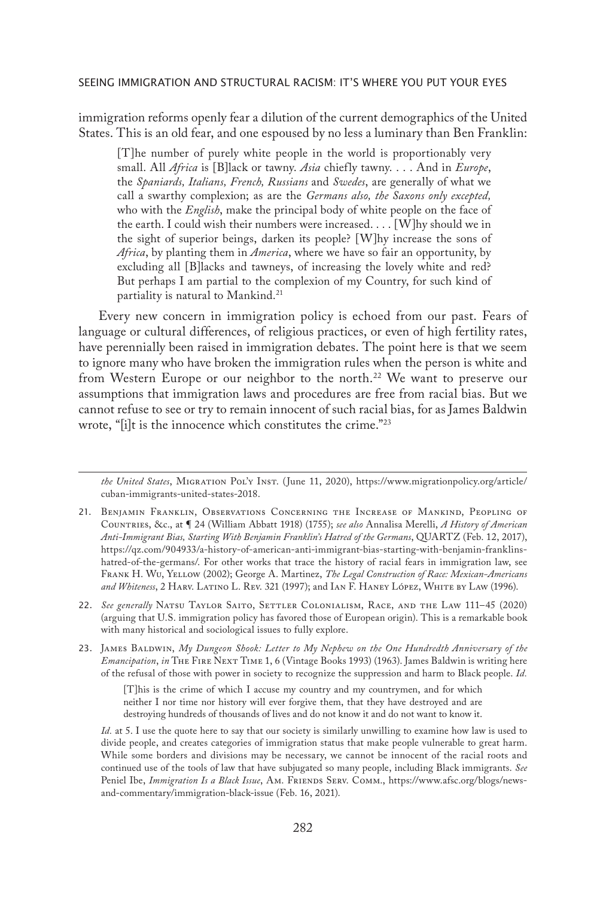immigration reforms openly fear a dilution of the current demographics of the United States. This is an old fear, and one espoused by no less a luminary than Ben Franklin:

[T]he number of purely white people in the world is proportionably very small. All *Africa* is [B]lack or tawny. *Asia* chiefly tawny. . . . And in *Europe*, the *Spaniards, Italians, French, Russians* and *Swedes*, are generally of what we call a swarthy complexion; as are the *Germans also, the Saxons only excepted,*  who with the *English*, make the principal body of white people on the face of the earth. I could wish their numbers were increased. . . . [W]hy should we in the sight of superior beings, darken its people? [W]hy increase the sons of *Africa*, by planting them in *America*, where we have so fair an opportunity, by excluding all [B]lacks and tawneys, of increasing the lovely white and red? But perhaps I am partial to the complexion of my Country, for such kind of partiality is natural to Mankind.<sup>21</sup>

Every new concern in immigration policy is echoed from our past. Fears of language or cultural differences, of religious practices, or even of high fertility rates, have perennially been raised in immigration debates. The point here is that we seem to ignore many who have broken the immigration rules when the person is white and from Western Europe or our neighbor to the north.<sup>22</sup> We want to preserve our assumptions that immigration laws and procedures are free from racial bias. But we cannot refuse to see or try to remain innocent of such racial bias, for as James Baldwin wrote, "[i]t is the innocence which constitutes the crime."23

[T]his is the crime of which I accuse my country and my countrymen, and for which neither I nor time nor history will ever forgive them, that they have destroyed and are destroying hundreds of thousands of lives and do not know it and do not want to know it.

*Id.* at 5. I use the quote here to say that our society is similarly unwilling to examine how law is used to divide people, and creates categories of immigration status that make people vulnerable to great harm. While some borders and divisions may be necessary, we cannot be innocent of the racial roots and continued use of the tools of law that have subjugated so many people, including Black immigrants. *See*  Peniel Ibe, *Immigration Is a Black Issue*, Am. Friends Serv. Comm., https://www.afsc.org/blogs/newsand-commentary/immigration-black-issue (Feb. 16, 2021).

*the United States*, Migration Pol'y Inst. (June 11, 2020), https://www.migrationpolicy.org/article/ cuban-immigrants-united-states-2018.

<sup>21.</sup> Benjamin Franklin, Observations Concerning the Increase of Mankind, Peopling of Countries, &c., at ¶ 24 (William Abbatt 1918) (1755); *see also* Annalisa Merelli, *A History of American Anti-Immigrant Bias, Starting With Benjamin Franklin's Hatred of the Germans*, QUARTZ (Feb. 12, 2017), https://qz.com/904933/a-history-of-american-anti-immigrant-bias-starting-with-benjamin-franklinshatred-of-the-germans/. For other works that trace the history of racial fears in immigration law, see Frank H. Wu, Yellow (2002); George A. Martinez, *The Legal Construction of Race: Mexican-Americans and Whiteness*, 2 Harv. Latino L. Rev. 321 (1997); and Ian F. Haney López, White by Law (1996).

<sup>22.</sup> See generally NATSU TAYLOR SAITO, SETTLER COLONIALISM, RACE, AND THE LAW 111-45 (2020) (arguing that U.S. immigration policy has favored those of European origin). This is a remarkable book with many historical and sociological issues to fully explore.

<sup>23.</sup> JAMES BALDWIN, *My Dungeon Shook: Letter to My Nephew on the One Hundredth Anniversary of the Emancipation*, *in* The Fire Next Time 1, 6 (Vintage Books 1993) (1963). James Baldwin is writing here of the refusal of those with power in society to recognize the suppression and harm to Black people. *Id.*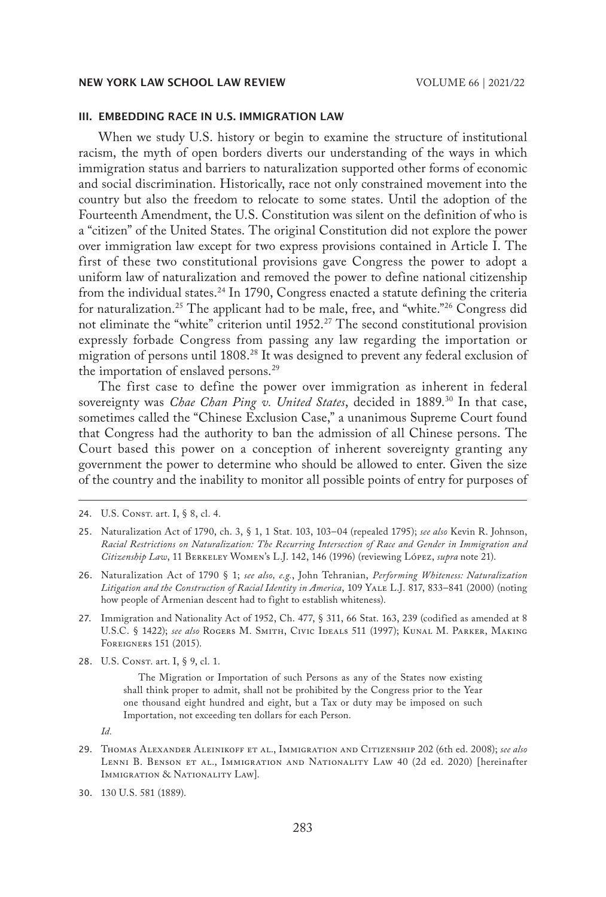# III. EMBEDDING RACE IN U.S. IMMIGRATION LAW

When we study U.S. history or begin to examine the structure of institutional racism, the myth of open borders diverts our understanding of the ways in which immigration status and barriers to naturalization supported other forms of economic and social discrimination. Historically, race not only constrained movement into the country but also the freedom to relocate to some states. Until the adoption of the Fourteenth Amendment, the U.S. Constitution was silent on the definition of who is a "citizen" of the United States. The original Constitution did not explore the power over immigration law except for two express provisions contained in Article I. The first of these two constitutional provisions gave Congress the power to adopt a uniform law of naturalization and removed the power to define national citizenship from the individual states.<sup>24</sup> In 1790, Congress enacted a statute defining the criteria for naturalization.<sup>25</sup> The applicant had to be male, free, and "white."<sup>26</sup> Congress did not eliminate the "white" criterion until 1952.<sup>27</sup> The second constitutional provision expressly forbade Congress from passing any law regarding the importation or migration of persons until 1808.28 It was designed to prevent any federal exclusion of the importation of enslaved persons.<sup>29</sup>

The first case to define the power over immigration as inherent in federal sovereignty was *Chae Chan Ping v. United States*, decided in 1889.30 In that case, sometimes called the "Chinese Exclusion Case," a unanimous Supreme Court found that Congress had the authority to ban the admission of all Chinese persons. The Court based this power on a conception of inherent sovereignty granting any government the power to determine who should be allowed to enter. Given the size of the country and the inability to monitor all possible points of entry for purposes of

- 27. Immigration and Nationality Act of 1952, Ch. 477, § 311, 66 Stat. 163, 239 (codified as amended at 8 U.S.C. § 1422); *see also* Rogers M. Smith, Civic Ideals 511 (1997); Kunal M. Parker, Making Foreigners 151 (2015).
- 28. U.S. CONST. art. I, § 9, cl. 1.

The Migration or Importation of such Persons as any of the States now existing shall think proper to admit, shall not be prohibited by the Congress prior to the Year one thousand eight hundred and eight, but a Tax or duty may be imposed on such Importation, not exceeding ten dollars for each Person.

29. Thomas Alexander Aleinikoff et al., Immigration and Citizenship 202 (6th ed. 2008); *see also* Lenni B. Benson et al., Immigration and Nationality Law 40 (2d ed. 2020) [hereinafter IMMIGRATION & NATIONALITY LAW].

<sup>24.</sup> U.S. CONST. art. I, § 8, cl. 4.

<sup>25.</sup> Naturalization Act of 1790, ch. 3, § 1, 1 Stat. 103, 103–04 (repealed 1795); *see also* Kevin R. Johnson, *Racial Restrictions on Naturalization: The Recurring Intersection of Race and Gender in Immigration and Citizenship Law*, 11 Berkeley Women's L.J. 142, 146 (1996) (reviewing López, *supra* note 21).

<sup>26.</sup> Naturalization Act of 1790 § 1; *see also, e.g.*, John Tehranian, *Performing Whiteness: Naturalization*  Litigation and the Construction of Racial Identity in America, 109 YALE L.J. 817, 833-841 (2000) (noting how people of Armenian descent had to fight to establish whiteness).

*Id.*

<sup>30.</sup> 130 U.S. 581 (1889).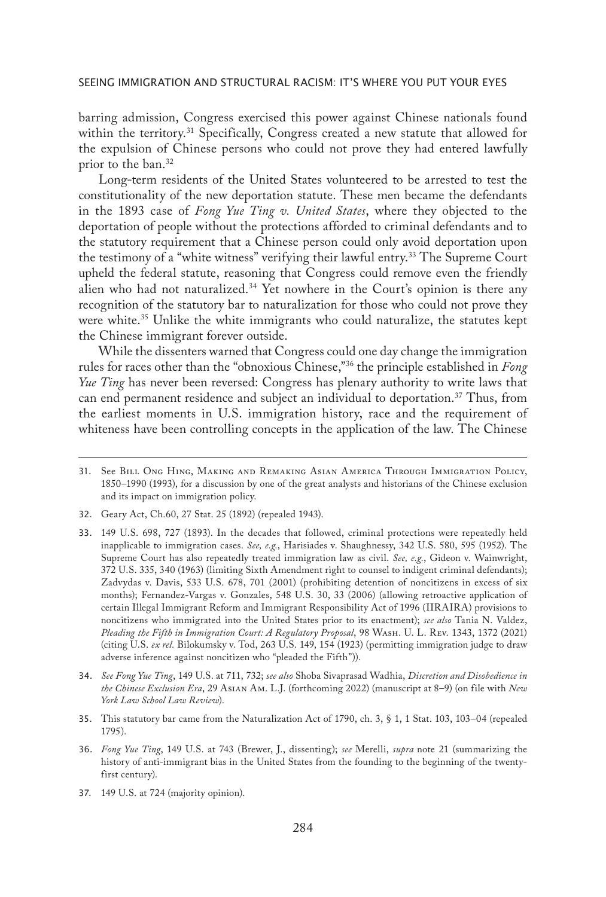barring admission, Congress exercised this power against Chinese nationals found within the territory.<sup>31</sup> Specifically, Congress created a new statute that allowed for the expulsion of Chinese persons who could not prove they had entered lawfully prior to the ban.<sup>32</sup>

Long-term residents of the United States volunteered to be arrested to test the constitutionality of the new deportation statute. These men became the defendants in the 1893 case of *Fong Yue Ting v. United States*, where they objected to the deportation of people without the protections afforded to criminal defendants and to the statutory requirement that a Chinese person could only avoid deportation upon the testimony of a "white witness" verifying their lawful entry.<sup>33</sup> The Supreme Court upheld the federal statute, reasoning that Congress could remove even the friendly alien who had not naturalized.<sup>34</sup> Yet nowhere in the Court's opinion is there any recognition of the statutory bar to naturalization for those who could not prove they were white.<sup>35</sup> Unlike the white immigrants who could naturalize, the statutes kept the Chinese immigrant forever outside.

While the dissenters warned that Congress could one day change the immigration rules for races other than the "obnoxious Chinese,"36 the principle established in *Fong Yue Ting* has never been reversed: Congress has plenary authority to write laws that can end permanent residence and subject an individual to deportation.37 Thus, from the earliest moments in U.S. immigration history, race and the requirement of whiteness have been controlling concepts in the application of the law. The Chinese

- 32. Geary Act, Ch.60, 27 Stat. 25 (1892) (repealed 1943).
- 33. 149 U.S. 698, 727 (1893). In the decades that followed, criminal protections were repeatedly held inapplicable to immigration cases. *See, e.g.*, Harisiades v. Shaughnessy, 342 U.S. 580, 595 (1952). The Supreme Court has also repeatedly treated immigration law as civil. *See, e.g.*, Gideon v. Wainwright, 372 U.S. 335, 340 (1963) (limiting Sixth Amendment right to counsel to indigent criminal defendants); Zadvydas v. Davis, 533 U.S. 678, 701 (2001) (prohibiting detention of noncitizens in excess of six months); Fernandez-Vargas v. Gonzales, 548 U.S. 30, 33 (2006) (allowing retroactive application of certain Illegal Immigrant Reform and Immigrant Responsibility Act of 1996 (IIRAIRA) provisions to noncitizens who immigrated into the United States prior to its enactment); *see also* Tania N. Valdez, *Pleading the Fifth in Immigration Court: A Regulatory Proposal*, 98 Wash. U. L. Rev. 1343, 1372 (2021) (citing U.S. *ex rel.* Bilokumsky v. Tod, 263 U.S. 149, 154 (1923) (permitting immigration judge to draw adverse inference against noncitizen who "pleaded the Fifth")).
- 34. *See Fong Yue Ting*, 149 U.S. at 711, 732; *see also* Shoba Sivaprasad Wadhia, *Discretion and Disobedience in the Chinese Exclusion Era*, 29 Asian Am. L.J. (forthcoming 2022) (manuscript at 8–9) (on file with *New York Law School Law Review*).
- 35. This statutory bar came from the Naturalization Act of 1790, ch. 3, § 1, 1 Stat. 103, 103–04 (repealed 1795).
- 36. *Fong Yue Ting*, 149 U.S. at 743 (Brewer, J., dissenting); *see* Merelli, *supra* note 21 (summarizing the history of anti-immigrant bias in the United States from the founding to the beginning of the twentyfirst century).
- 37. 149 U.S. at 724 (majority opinion).

<sup>31.</sup> See Bill Ong Hing, Making and Remaking Asian America Through Immigration Policy, 1850–1990 (1993), for a discussion by one of the great analysts and historians of the Chinese exclusion and its impact on immigration policy.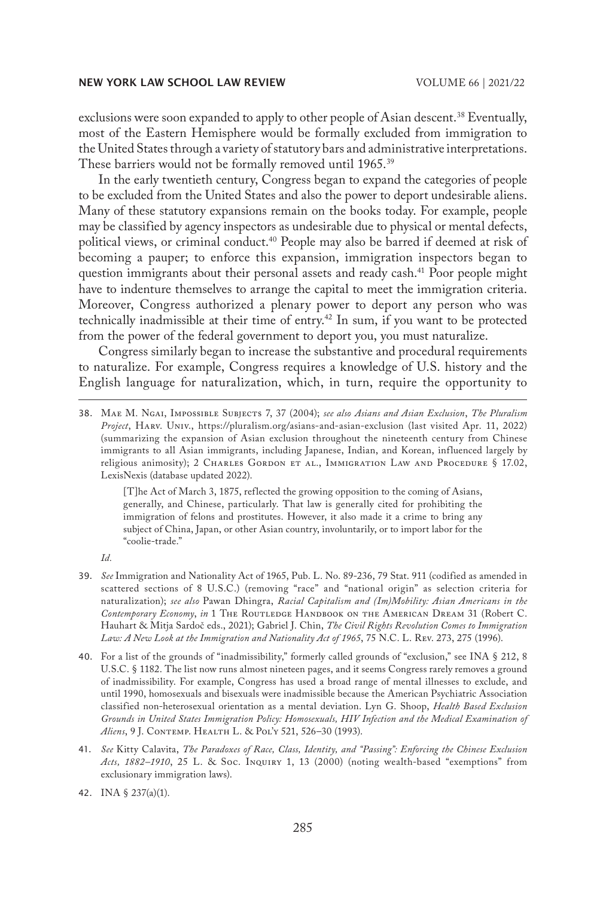exclusions were soon expanded to apply to other people of Asian descent.<sup>38</sup> Eventually, most of the Eastern Hemisphere would be formally excluded from immigration to the United States through a variety of statutory bars and administrative interpretations. These barriers would not be formally removed until 1965.<sup>39</sup>

In the early twentieth century, Congress began to expand the categories of people to be excluded from the United States and also the power to deport undesirable aliens. Many of these statutory expansions remain on the books today. For example, people may be classified by agency inspectors as undesirable due to physical or mental defects, political views, or criminal conduct.<sup>40</sup> People may also be barred if deemed at risk of becoming a pauper; to enforce this expansion, immigration inspectors began to question immigrants about their personal assets and ready cash.<sup>41</sup> Poor people might have to indenture themselves to arrange the capital to meet the immigration criteria. Moreover, Congress authorized a plenary power to deport any person who was technically inadmissible at their time of entry.<sup>42</sup> In sum, if you want to be protected from the power of the federal government to deport you, you must naturalize.

Congress similarly began to increase the substantive and procedural requirements to naturalize. For example, Congress requires a knowledge of U.S. history and the English language for naturalization, which, in turn, require the opportunity to

[T]he Act of March 3, 1875, reflected the growing opposition to the coming of Asians, generally, and Chinese, particularly. That law is generally cited for prohibiting the immigration of felons and prostitutes. However, it also made it a crime to bring any subject of China, Japan, or other Asian country, involuntarily, or to import labor for the "coolie-trade."

*Id.*

- 39. *See* Immigration and Nationality Act of 1965, Pub. L. No. 89-236, 79 Stat. 911 (codified as amended in scattered sections of 8 U.S.C.) (removing "race" and "national origin" as selection criteria for naturalization); *see also* Pawan Dhingra, *Racial Capitalism and (Im)Mobility: Asian Americans in the Contemporary Economy*, *in* 1 The Routledge Handbook on the American Dream 31 (Robert C. Hauhart & Mitja Sardoč eds., 2021); Gabriel J. Chin, *The Civil Rights Revolution Comes to Immigration Law: A New Look at the Immigration and Nationality Act of 1965*, 75 N.C. L. Rev. 273, 275 (1996).
- 40. For a list of the grounds of "inadmissibility," formerly called grounds of "exclusion," see INA § 212, 8 U.S.C. § 1182. The list now runs almost nineteen pages, and it seems Congress rarely removes a ground of inadmissibility. For example, Congress has used a broad range of mental illnesses to exclude, and until 1990, homosexuals and bisexuals were inadmissible because the American Psychiatric Association classified non-heterosexual orientation as a mental deviation. Lyn G. Shoop, *Health Based Exclusion Grounds in United States Immigration Policy: Homosexuals, HIV Infection and the Medical Examination of Aliens*, 9 J. Contemp. Health L. & Pol'y 521, 526–30 (1993).
- 41. *See* Kitty Calavita, *The Paradoxes of Race, Class, Identity, and "Passing": Enforcing the Chinese Exclusion Acts, 1882–1910*, 25 L. & Soc. Inquiry 1, 13 (2000) (noting wealth-based "exemptions" from exclusionary immigration laws).

<sup>38.</sup> Mae M. Ngai, Impossible Subjects 7, 37 (2004); *see also Asians and Asian Exclusion*, *The Pluralism Project*, Harv. Univ., https://pluralism.org/asians-and-asian-exclusion (last visited Apr. 11, 2022) (summarizing the expansion of Asian exclusion throughout the nineteenth century from Chinese immigrants to all Asian immigrants, including Japanese, Indian, and Korean, influenced largely by religious animosity); 2 CHARLES GORDON ET AL., IMMIGRATION LAW AND PROCEDURE  $\S$  17.02, LexisNexis (database updated 2022).

<sup>42.</sup> INA § 237(a)(1).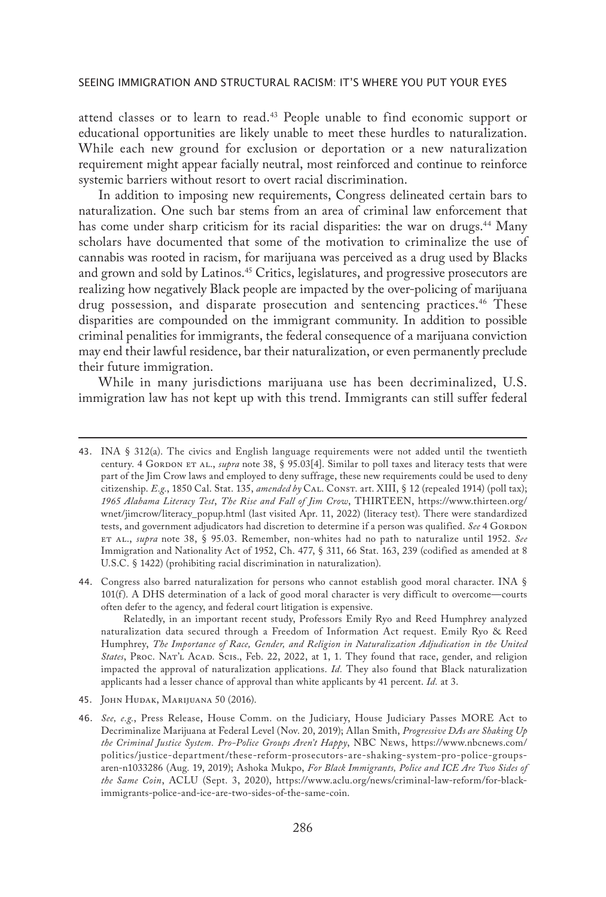attend classes or to learn to read.43 People unable to find economic support or educational opportunities are likely unable to meet these hurdles to naturalization. While each new ground for exclusion or deportation or a new naturalization requirement might appear facially neutral, most reinforced and continue to reinforce systemic barriers without resort to overt racial discrimination.

In addition to imposing new requirements, Congress delineated certain bars to naturalization. One such bar stems from an area of criminal law enforcement that has come under sharp criticism for its racial disparities: the war on drugs.<sup>44</sup> Many scholars have documented that some of the motivation to criminalize the use of cannabis was rooted in racism, for marijuana was perceived as a drug used by Blacks and grown and sold by Latinos.<sup>45</sup> Critics, legislatures, and progressive prosecutors are realizing how negatively Black people are impacted by the over-policing of marijuana drug possession, and disparate prosecution and sentencing practices.46 These disparities are compounded on the immigrant community. In addition to possible criminal penalities for immigrants, the federal consequence of a marijuana conviction may end their lawful residence, bar their naturalization, or even permanently preclude their future immigration.

While in many jurisdictions marijuana use has been decriminalized, U.S. immigration law has not kept up with this trend. Immigrants can still suffer federal

Relatedly, in an important recent study, Professors Emily Ryo and Reed Humphrey analyzed naturalization data secured through a Freedom of Information Act request. Emily Ryo & Reed Humphrey, *The Importance of Race, Gender, and Religion in Naturalization Adjudication in the United*  States, PROC. NAT'L ACAD. SCIS., Feb. 22, 2022, at 1, 1. They found that race, gender, and religion impacted the approval of naturalization applications. *Id.* They also found that Black naturalization applicants had a lesser chance of approval than white applicants by 41 percent. *Id.* at 3.

45. John Hudak, Marijuana 50 (2016).

<sup>43.</sup> INA § 312(a). The civics and English language requirements were not added until the twentieth century. 4 GORDON ET AL., *supra* note 38, § 95.03[4]. Similar to poll taxes and literacy tests that were part of the Jim Crow laws and employed to deny suffrage, these new requirements could be used to deny citizenship. *E.g.*, 1850 Cal. Stat. 135, *amended by* Cal. Const. art. XIII, § 12 (repealed 1914) (poll tax); *1965 Alabama Literacy Test*, *The Rise and Fall of Jim Crow*, THIRTEEN, https://www.thirteen.org/ wnet/jimcrow/literacy\_popup.html (last visited Apr. 11, 2022) (literacy test). There were standardized tests, and government adjudicators had discretion to determine if a person was qualified. See 4 GORDON et al., *supra* note 38, § 95.03. Remember, non-whites had no path to naturalize until 1952. *See*  Immigration and Nationality Act of 1952, Ch. 477, § 311, 66 Stat. 163, 239 (codified as amended at 8 U.S.C. § 1422) (prohibiting racial discrimination in naturalization).

<sup>44.</sup> Congress also barred naturalization for persons who cannot establish good moral character. INA § 101(f). A DHS determination of a lack of good moral character is very difficult to overcome—courts often defer to the agency, and federal court litigation is expensive.

<sup>46.</sup> *See, e.g.*, Press Release, House Comm. on the Judiciary, House Judiciary Passes MORE Act to Decriminalize Marijuana at Federal Level (Nov. 20, 2019); Allan Smith, *Progressive DAs are Shaking Up the Criminal Justice System. Pro-Police Groups Aren't Happy*, NBC News, https://www.nbcnews.com/ politics/justice-department/these-reform-prosecutors-are-shaking-system-pro-police-groupsaren-n1033286 (Aug. 19, 2019); Ashoka Mukpo, *For Black Immigrants, Police and ICE Are Two Sides of the Same Coin*, ACLU (Sept. 3, 2020), https://www.aclu.org/news/criminal-law-reform/for-blackimmigrants-police-and-ice-are-two-sides-of-the-same-coin.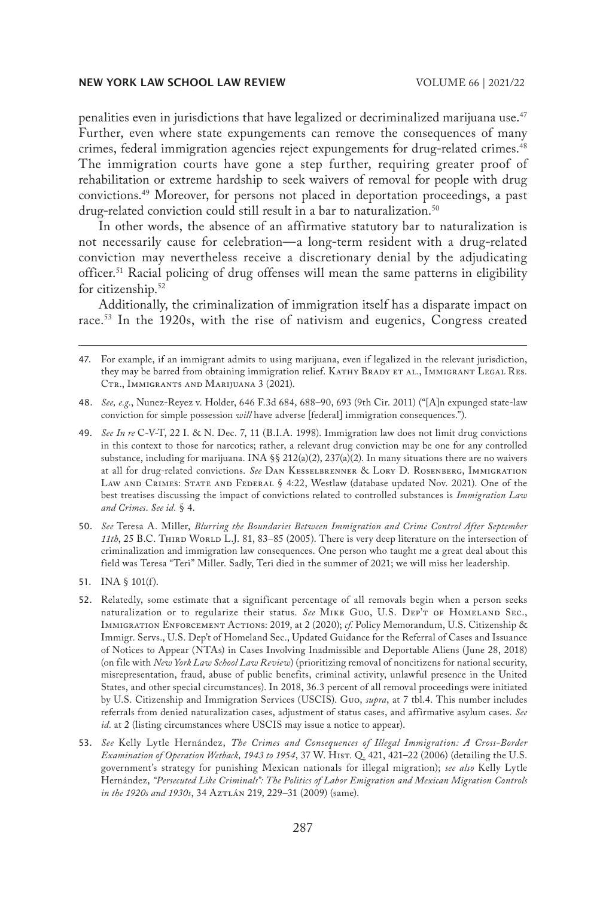penalities even in jurisdictions that have legalized or decriminalized marijuana use.<sup>47</sup> Further, even where state expungements can remove the consequences of many crimes, federal immigration agencies reject expungements for drug-related crimes.48 The immigration courts have gone a step further, requiring greater proof of rehabilitation or extreme hardship to seek waivers of removal for people with drug convictions.49 Moreover, for persons not placed in deportation proceedings, a past drug-related conviction could still result in a bar to naturalization.<sup>50</sup>

In other words, the absence of an affirmative statutory bar to naturalization is not necessarily cause for celebration—a long-term resident with a drug-related conviction may nevertheless receive a discretionary denial by the adjudicating officer.<sup>51</sup> Racial policing of drug offenses will mean the same patterns in eligibility for citizenship.<sup>52</sup>

Additionally, the criminalization of immigration itself has a disparate impact on race.53 In the 1920s, with the rise of nativism and eugenics, Congress created

- 48. *See, e.g.*, Nunez-Reyez v. Holder, 646 F.3d 684, 688–90, 693 (9th Cir. 2011) ("[A]n expunged state-law conviction for simple possession *will* have adverse [federal] immigration consequences.").
- 49. *See In re* C-V-T, 22 I. & N. Dec. 7, 11 (B.I.A. 1998). Immigration law does not limit drug convictions in this context to those for narcotics; rather, a relevant drug conviction may be one for any controlled substance, including for marijuana. INA §§ 212(a)(2), 237(a)(2). In many situations there are no waivers at all for drug-related convictions. *See* Dan Kesselbrenner & Lory D. Rosenberg, Immigration LAW AND CRIMES: STATE AND FEDERAL § 4:22, Westlaw (database updated Nov. 2021). One of the best treatises discussing the impact of convictions related to controlled substances is *Immigration Law and Crimes*. *See id.* § 4.
- 50. *See* Teresa A. Miller, *Blurring the Boundaries Between Immigration and Crime Control After September*  11th, 25 B.C. THIRD WORLD L.J. 81, 83-85 (2005). There is very deep literature on the intersection of criminalization and immigration law consequences. One person who taught me a great deal about this field was Teresa "Teri" Miller. Sadly, Teri died in the summer of 2021; we will miss her leadership.
- 51. INA § 101(f).
- 52. Relatedly, some estimate that a significant percentage of all removals begin when a person seeks naturalization or to regularize their status. See MIKE GUO, U.S. DEP'T OF HOMELAND SEC., Immigration Enforcement Actions: 2019, at 2 (2020); *cf.* Policy Memorandum, U.S. Citizenship & Immigr. Servs., U.S. Dep't of Homeland Sec., Updated Guidance for the Referral of Cases and Issuance of Notices to Appear (NTAs) in Cases Involving Inadmissible and Deportable Aliens (June 28, 2018) (on file with *New York Law School Law Review*) (prioritizing removal of noncitizens for national security, misrepresentation, fraud, abuse of public benefits, criminal activity, unlawful presence in the United States, and other special circumstances). In 2018, 36.3 percent of all removal proceedings were initiated by U.S. Citizenship and Immigration Services (USCIS). Guo, *supra*, at 7 tbl.4. This number includes referrals from denied naturalization cases, adjustment of status cases, and affirmative asylum cases. *See id.* at 2 (listing circumstances where USCIS may issue a notice to appear).
- 53. *See* Kelly Lytle Hernández, *The Crimes and Consequences of Illegal Immigration: A Cross-Border Examination of Operation Wetback, 1943 to 1954*, 37 W. Hist. Q. 421, 421–22 (2006) (detailing the U.S. government's strategy for punishing Mexican nationals for illegal migration); *see also* Kelly Lytle Hernández, *"Persecuted Like Criminals": The Politics of Labor Emigration and Mexican Migration Controls in the 1920s and 1930s*, 34 Aztlán 219, 229–31 (2009) (same).

<sup>47.</sup> For example, if an immigrant admits to using marijuana, even if legalized in the relevant jurisdiction, they may be barred from obtaining immigration relief. KATHY BRADY ET AL., IMMIGRANT LEGAL RES. CTR., IMMIGRANTS AND MARIJUANA 3 (2021).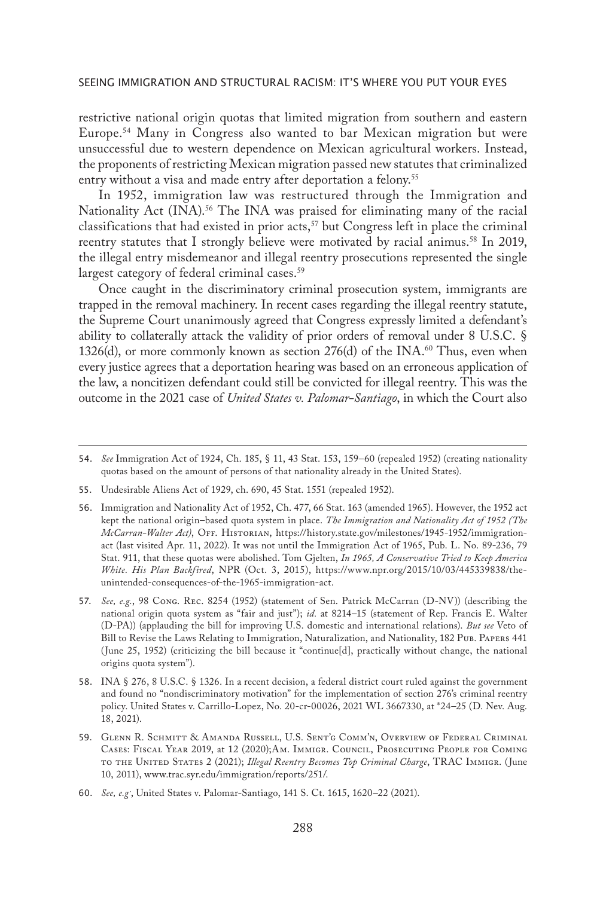restrictive national origin quotas that limited migration from southern and eastern Europe.54 Many in Congress also wanted to bar Mexican migration but were unsuccessful due to western dependence on Mexican agricultural workers. Instead, the proponents of restricting Mexican migration passed new statutes that criminalized entry without a visa and made entry after deportation a felony.<sup>55</sup>

In 1952, immigration law was restructured through the Immigration and Nationality Act  $(INA)$ .<sup>56</sup> The INA was praised for eliminating many of the racial classifications that had existed in prior acts,<sup>57</sup> but Congress left in place the criminal reentry statutes that I strongly believe were motivated by racial animus.<sup>58</sup> In 2019, the illegal entry misdemeanor and illegal reentry prosecutions represented the single largest category of federal criminal cases.<sup>59</sup>

Once caught in the discriminatory criminal prosecution system, immigrants are trapped in the removal machinery. In recent cases regarding the illegal reentry statute, the Supreme Court unanimously agreed that Congress expressly limited a defendant's ability to collaterally attack the validity of prior orders of removal under 8 U.S.C. § 1326(d), or more commonly known as section 276(d) of the INA.<sup>60</sup> Thus, even when every justice agrees that a deportation hearing was based on an erroneous application of the law, a noncitizen defendant could still be convicted for illegal reentry. This was the outcome in the 2021 case of *United States v. Palomar-Santiago*, in which the Court also

<sup>54.</sup> *See* Immigration Act of 1924, Ch. 185, § 11, 43 Stat. 153, 159–60 (repealed 1952) (creating nationality quotas based on the amount of persons of that nationality already in the United States).

<sup>55.</sup> Undesirable Aliens Act of 1929, ch. 690, 45 Stat. 1551 (repealed 1952).

<sup>56.</sup> Immigration and Nationality Act of 1952, Ch. 477, 66 Stat. 163 (amended 1965). However, the 1952 act kept the national origin–based quota system in place. *The Immigration and Nationality Act of 1952 (The McCarran-Walter Act)*, Off. Historian, https://history.state.gov/milestones/1945-1952/immigrationact (last visited Apr. 11, 2022). It was not until the Immigration Act of 1965, Pub. L. No. 89-236, 79 Stat. 911, that these quotas were abolished. Tom Gjelten, *In 1965, A Conservative Tried to Keep America White. His Plan Backfired*, NPR (Oct. 3, 2015), https://www.npr.org/2015/10/03/445339838/theunintended-consequences-of-the-1965-immigration-act.

<sup>57.</sup> *See, e.g.*, 98 Cong. Rec. 8254 (1952) (statement of Sen. Patrick McCarran (D-NV)) (describing the national origin quota system as "fair and just"); *id.* at 8214–15 (statement of Rep. Francis E. Walter (D-PA)) (applauding the bill for improving U.S. domestic and international relations). *But see* Veto of Bill to Revise the Laws Relating to Immigration, Naturalization, and Nationality, 182 Pub. Papers 441 (June 25, 1952) (criticizing the bill because it "continue[d], practically without change, the national origins quota system").

<sup>58.</sup> INA § 276, 8 U.S.C. § 1326. In a recent decision, a federal district court ruled against the government and found no "nondiscriminatory motivation" for the implementation of section 276's criminal reentry policy. United States v. Carrillo-Lopez, No. 20-cr-00026, 2021 WL 3667330, at \*24–25 (D. Nev. Aug. 18, 2021).

<sup>59.</sup> Glenn R. Schmitt & Amanda Russell, U.S. Sent'g Comm'n, Overview of Federal Criminal Cases: Fiscal Year 2019, at 12 (2020);Am. Immigr. Council, Prosecuting People for Coming to the United States 2 (2021); *Illegal Reentry Becomes Top Criminal Charge*, TRAC Immigr. (June 10, 2011), www.trac.syr.edu/immigration/reports/251/.

<sup>60.</sup> *See, e.g.*, United States v. Palomar-Santiago, 141 S. Ct. 1615, 1620–22 (2021).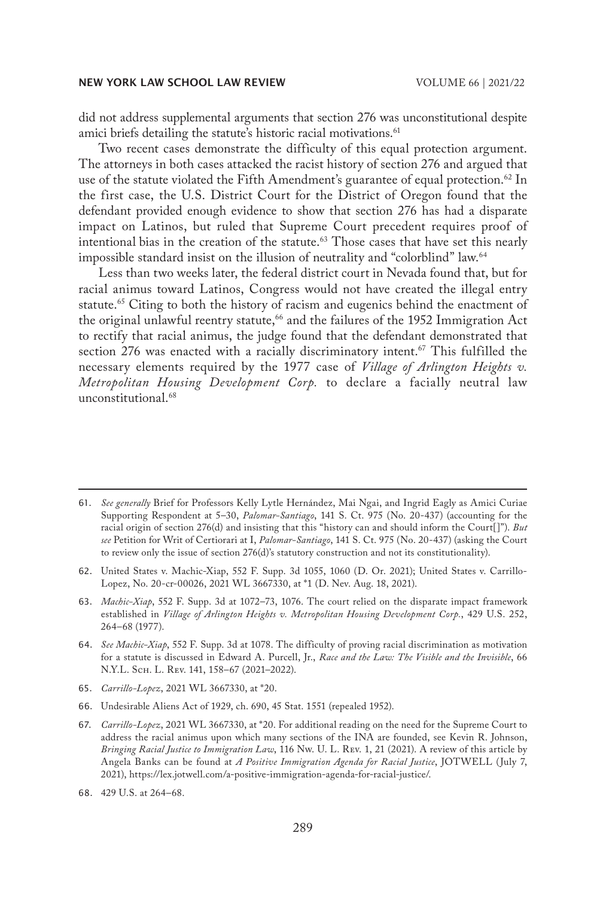did not address supplemental arguments that section 276 was unconstitutional despite amici briefs detailing the statute's historic racial motivations.<sup>61</sup>

Two recent cases demonstrate the difficulty of this equal protection argument. The attorneys in both cases attacked the racist history of section 276 and argued that use of the statute violated the Fifth Amendment's guarantee of equal protection.<sup>62</sup> In the first case, the U.S. District Court for the District of Oregon found that the defendant provided enough evidence to show that section 276 has had a disparate impact on Latinos, but ruled that Supreme Court precedent requires proof of intentional bias in the creation of the statute.<sup>63</sup> Those cases that have set this nearly impossible standard insist on the illusion of neutrality and "colorblind" law.<sup>64</sup>

Less than two weeks later, the federal district court in Nevada found that, but for racial animus toward Latinos, Congress would not have created the illegal entry statute.<sup>65</sup> Citing to both the history of racism and eugenics behind the enactment of the original unlawful reentry statute,<sup>66</sup> and the failures of the 1952 Immigration Act to rectify that racial animus, the judge found that the defendant demonstrated that section 276 was enacted with a racially discriminatory intent.<sup>67</sup> This fulfilled the necessary elements required by the 1977 case of *Village of Arlington Heights v. Metropolitan Housing Development Corp.* to declare a facially neutral law unconstitutional.68

- 62. United States v. Machic-Xiap, 552 F. Supp. 3d 1055, 1060 (D. Or. 2021); United States v. Carrillo-Lopez, No. 20-cr-00026, 2021 WL 3667330, at \*1 (D. Nev. Aug. 18, 2021).
- 63. *Machic-Xiap*, 552 F. Supp. 3d at 1072–73, 1076. The court relied on the disparate impact framework established in *Village of Arlington Heights v. Metropolitan Housing Development Corp.*, 429 U.S. 252, 264–68 (1977).
- 64. *See Machic-Xiap*, 552 F. Supp. 3d at 1078. The difficulty of proving racial discrimination as motivation for a statute is discussed in Edward A. Purcell, Jr., *Race and the Law: The Visible and the Invisible*, 66 N.Y.L. Scн. L. Rev. 141, 158-67 (2021-2022).
- 65. *Carrillo-Lopez*, 2021 WL 3667330, at \*20.
- 66. Undesirable Aliens Act of 1929, ch. 690, 45 Stat. 1551 (repealed 1952).
- 67. *Carrillo-Lopez*, 2021 WL 3667330, at \*20. For additional reading on the need for the Supreme Court to address the racial animus upon which many sections of the INA are founded, see Kevin R. Johnson, *Bringing Racial Justice to Immigration Law*, 116 Nw. U. L. Rev. 1, 21 (2021). A review of this article by Angela Banks can be found at *A Positive Immigration Agenda for Racial Justice*, JOTWELL (July 7, 2021), https://lex.jotwell.com/a-positive-immigration-agenda-for-racial-justice/.
- 68. 429 U.S. at 264–68.

<sup>61.</sup> *See generally* Brief for Professors Kelly Lytle Hernández, Mai Ngai, and Ingrid Eagly as Amici Curiae Supporting Respondent at 5–30, *Palomar-Santiago*, 141 S. Ct. 975 (No. 20-437) (accounting for the racial origin of section 276(d) and insisting that this "history can and should inform the Court[]"). *But see* Petition for Writ of Certiorari at I, *Palomar-Santiago*, 141 S. Ct. 975 (No. 20-437) (asking the Court to review only the issue of section 276(d)'s statutory construction and not its constitutionality).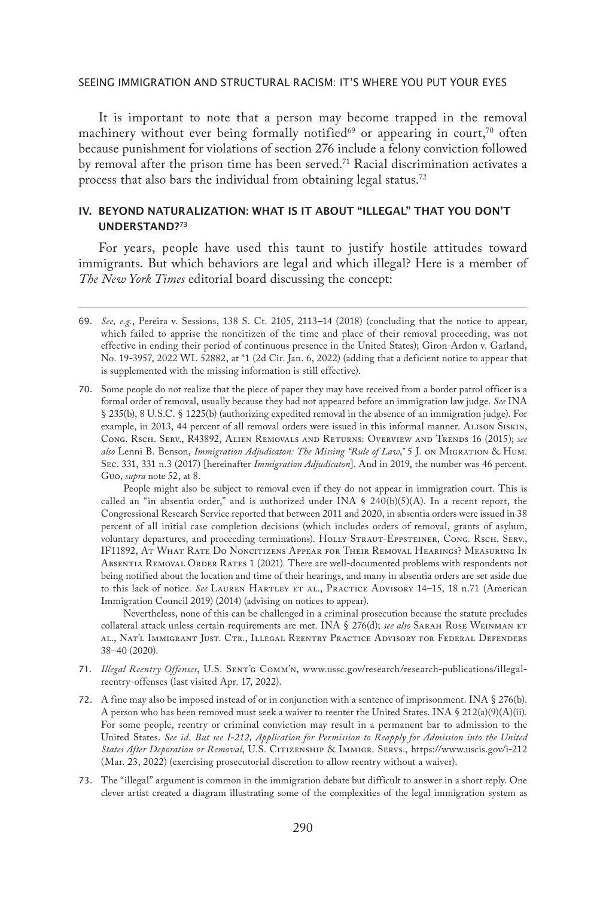It is important to note that a person may become trapped in the removal machinery without ever being formally notified<sup>69</sup> or appearing in court,<sup>70</sup> often because punishment for violations of section 276 include a felony conviction followed by removal after the prison time has been served.<sup>71</sup> Racial discrimination activates a process that also bars the individual from obtaining legal status.72

# IV. BEYOND NATURALIZATION: WHAT IS IT ABOUT "ILLEGAL" THAT YOU DON'T UNDERSTAND?73

For years, people have used this taunt to justify hostile attitudes toward immigrants. But which behaviors are legal and which illegal? Here is a member of *The New York Times* editorial board discussing the concept:

70. Some people do not realize that the piece of paper they may have received from a border patrol officer is a formal order of removal, usually because they had not appeared before an immigration law judge. *See* INA § 235(b), 8 U.S.C. § 1225(b) (authorizing expedited removal in the absence of an immigration judge). For example, in 2013, 44 percent of all removal orders were issued in this informal manner. Alison Siskin, Cong. Rsch. Serv., R43892, Alien Removals and Returns: Overview and Trends 16 (2015); *see also* Lenni B. Benson, *Immigration Adjudicaton: The Missing "Rule of Law*,*"* 5 J. on Migration & Hum. Sec. 331, 331 n.3 (2017) [hereinafter *Immigration Adjudicaton*]. And in 2019, the number was 46 percent. Guo, *supra* note 52, at 8.

People might also be subject to removal even if they do not appear in immigration court. This is called an "in absentia order," and is authorized under INA § 240(b)(5)(A). In a recent report, the Congressional Research Service reported that between 2011 and 2020, in absentia orders were issued in 38 percent of all initial case completion decisions (which includes orders of removal, grants of asylum, voluntary departures, and proceeding terminations). HOLLY STRAUT-EPPSTEINER, CONG. RSCH. SERV., IF11892, At What Rate Do Noncitizens Appear for Their Removal Hearings? Measuring In Absentia Removal Order Rates 1 (2021). There are well-documented problems with respondents not being notified about the location and time of their hearings, and many in absentia orders are set aside due to this lack of notice. See LAUREN HARTLEY ET AL., PRACTICE ADVISORY 14-15, 18 n.71 (American Immigration Council 2019) (2014) (advising on notices to appear).

Nevertheless, none of this can be challenged in a criminal prosecution because the statute precludes collateral attack unless certain requirements are met. INA § 276(d); see also SARAH ROSE WEINMAN ET al., Nat'l Immigrant Just. Ctr., Illegal Reentry Practice Advisory for Federal Defenders 38–40 (2020).

- 71. *Illegal Reentry Offenses*, U.S. Sent'g Comm'n, www.ussc.gov/research/research-publications/illegalreentry-offenses (last visited Apr. 17, 2022).
- 72. A fine may also be imposed instead of or in conjunction with a sentence of imprisonment. INA § 276(b). A person who has been removed must seek a waiver to reenter the United States. INA § 212(a)(9)(A)(ii). For some people, reentry or criminal conviction may result in a permanent bar to admission to the United States. *See id. But see I-212, Application for Permission to Reapply for Admission into the United States After Deporation or Removal*, U.S. Citizenship & Immigr. Servs., https://www.uscis.gov/i-212 (Mar. 23, 2022) (exercising prosecutorial discretion to allow reentry without a waiver).
- 73. The "illegal" argument is common in the immigration debate but difficult to answer in a short reply. One clever artist created a diagram illustrating some of the complexities of the legal immigration system as

<sup>69.</sup> *See, e.g.*, Pereira v. Sessions, 138 S. Ct. 2105, 2113–14 (2018) (concluding that the notice to appear, which failed to apprise the noncitizen of the time and place of their removal proceeding, was not effective in ending their period of continuous presence in the United States); Giron-Ardon v. Garland, No. 19-3957, 2022 WL 52882, at \*1 (2d Cir. Jan. 6, 2022) (adding that a deficient notice to appear that is supplemented with the missing information is still effective).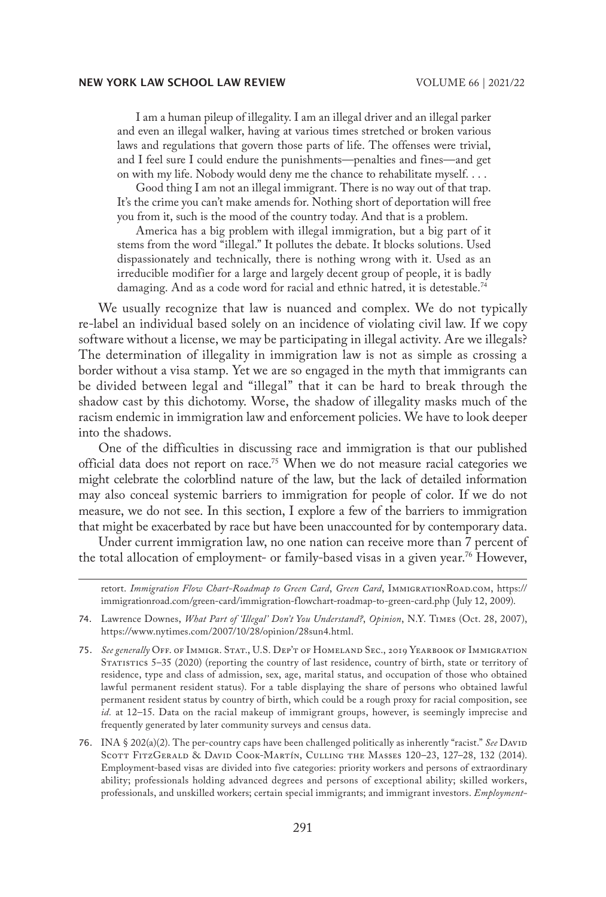I am a human pileup of illegality. I am an illegal driver and an illegal parker and even an illegal walker, having at various times stretched or broken various laws and regulations that govern those parts of life. The offenses were trivial, and I feel sure I could endure the punishments—penalties and fines—and get on with my life. Nobody would deny me the chance to rehabilitate myself. . . .

Good thing I am not an illegal immigrant. There is no way out of that trap. It's the crime you can't make amends for. Nothing short of deportation will free you from it, such is the mood of the country today. And that is a problem.

America has a big problem with illegal immigration, but a big part of it stems from the word "illegal." It pollutes the debate. It blocks solutions. Used dispassionately and technically, there is nothing wrong with it. Used as an irreducible modifier for a large and largely decent group of people, it is badly damaging. And as a code word for racial and ethnic hatred, it is detestable.<sup>74</sup>

We usually recognize that law is nuanced and complex. We do not typically re-label an individual based solely on an incidence of violating civil law. If we copy software without a license, we may be participating in illegal activity. Are we illegals? The determination of illegality in immigration law is not as simple as crossing a border without a visa stamp. Yet we are so engaged in the myth that immigrants can be divided between legal and "illegal" that it can be hard to break through the shadow cast by this dichotomy. Worse, the shadow of illegality masks much of the racism endemic in immigration law and enforcement policies. We have to look deeper into the shadows.

One of the difficulties in discussing race and immigration is that our published official data does not report on race.<sup>75</sup> When we do not measure racial categories we might celebrate the colorblind nature of the law, but the lack of detailed information may also conceal systemic barriers to immigration for people of color. If we do not measure, we do not see. In this section, I explore a few of the barriers to immigration that might be exacerbated by race but have been unaccounted for by contemporary data.

Under current immigration law, no one nation can receive more than 7 percent of the total allocation of employment- or family-based visas in a given year.<sup>76</sup> However,

retort. *Immigration Flow Chart-Roadmap to Green Card*, *Green Card*, ImmigrationRoad.com, https:// immigrationroad.com/green-card/immigration-flowchart-roadmap-to-green-card.php (July 12, 2009).

76. INA § 202(a)(2). The per-country caps have been challenged politically as inherently "racist." *See* David Scott FitzGerald & David Cook-Martín, Culling the Masses 120–23, 127–28, 132 (2014). Employment-based visas are divided into five categories: priority workers and persons of extraordinary ability; professionals holding advanced degrees and persons of exceptional ability; skilled workers, professionals, and unskilled workers; certain special immigrants; and immigrant investors. *Employment-*

<sup>74.</sup> Lawrence Downes, *What Part of 'Illegal' Don't You Understand?*, *Opinion*, N.Y. Times (Oct. 28, 2007), https://www.nytimes.com/2007/10/28/opinion/28sun4.html.

<sup>75.</sup> *See generally* Off. of Immigr. Stat., U.S. Dep't of Homeland Sec., 2019 Yearbook of Immigration STATISTICS 5–35 (2020) (reporting the country of last residence, country of birth, state or territory of residence, type and class of admission, sex, age, marital status, and occupation of those who obtained lawful permanent resident status). For a table displaying the share of persons who obtained lawful permanent resident status by country of birth, which could be a rough proxy for racial composition, see *id.* at 12–15. Data on the racial makeup of immigrant groups, however, is seemingly imprecise and frequently generated by later community surveys and census data.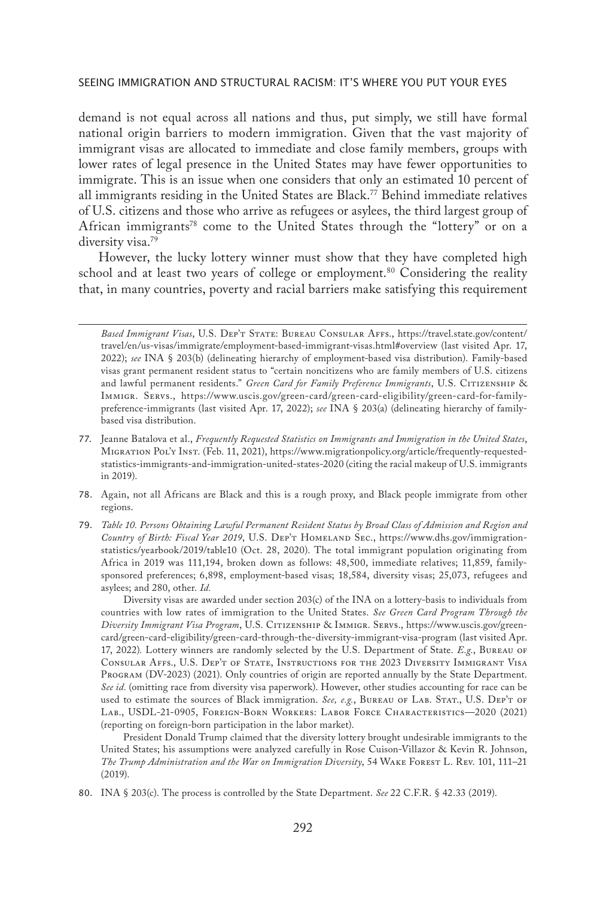demand is not equal across all nations and thus, put simply, we still have formal national origin barriers to modern immigration. Given that the vast majority of immigrant visas are allocated to immediate and close family members, groups with lower rates of legal presence in the United States may have fewer opportunities to immigrate. This is an issue when one considers that only an estimated 10 percent of all immigrants residing in the United States are Black.<sup>77</sup> Behind immediate relatives of U.S. citizens and those who arrive as refugees or asylees, the third largest group of African immigrants<sup>78</sup> come to the United States through the "lottery" or on a diversity visa.<sup>79</sup>

However, the lucky lottery winner must show that they have completed high school and at least two years of college or employment.<sup>80</sup> Considering the reality that, in many countries, poverty and racial barriers make satisfying this requirement

- 78. Again, not all Africans are Black and this is a rough proxy, and Black people immigrate from other regions.
- 79. *Table 10. Persons Obtaining Lawful Permanent Resident Status by Broad Class of Admission and Region and Country of Birth: Fiscal Year 2019*, U.S. Dep't Homeland Sec., https://www.dhs.gov/immigrationstatistics/yearbook/2019/table10 (Oct. 28, 2020). The total immigrant population originating from Africa in 2019 was 111,194, broken down as follows: 48,500, immediate relatives; 11,859, familysponsored preferences; 6,898, employment-based visas; 18,584, diversity visas; 25,073, refugees and asylees; and 280, other. *Id.*

Diversity visas are awarded under section 203(c) of the INA on a lottery-basis to individuals from countries with low rates of immigration to the United States. *See Green Card Program Through the Diversity Immigrant Visa Program*, U.S. Citizenship & Immigr. Servs., https://www.uscis.gov/greencard/green-card-eligibility/green-card-through-the-diversity-immigrant-visa-program (last visited Apr. 17, 2022)*.* Lottery winners are randomly selected by the U.S. Department of State. *E.g.*, Bureau of Consular Affs., U.S. Dep't of State, Instructions for the 2023 Diversity Immigrant Visa Program (DV-2023) (2021). Only countries of origin are reported annually by the State Department. *See id.* (omitting race from diversity visa paperwork). However, other studies accounting for race can be used to estimate the sources of Black immigration. See, e.g., BUREAU OF LAB. STAT., U.S. DEP'T OF Lab., USDL-21-0905, Foreign-Born Workers: Labor Force Characteristics—2020 (2021) (reporting on foreign-born participation in the labor market).

President Donald Trump claimed that the diversity lottery brought undesirable immigrants to the United States; his assumptions were analyzed carefully in Rose Cuison-Villazor & Kevin R. Johnson, *The Trump Administration and the War on Immigration Diversity*, 54 Wake Forest L. Rev. 101, 111–21 (2019).

80. INA § 203(c). The process is controlled by the State Department. *See* 22 C.F.R. § 42.33 (2019).

*Based Immigrant Visas*, U.S. Dep't State: Bureau Consular Affs., https://travel.state.gov/content/ travel/en/us-visas/immigrate/employment-based-immigrant-visas.html#overview (last visited Apr. 17, 2022); *see* INA § 203(b) (delineating hierarchy of employment-based visa distribution). Family-based visas grant permanent resident status to "certain noncitizens who are family members of U.S. citizens and lawful permanent residents." *Green Card for Family Preference Immigrants*, U.S. Citizenship & Immigr. Servs., https://www.uscis.gov/green-card/green-card-eligibility/green-card-for-familypreference-immigrants (last visited Apr. 17, 2022); *see* INA § 203(a) (delineating hierarchy of familybased visa distribution.

<sup>77.</sup> Jeanne Batalova et al., *Frequently Requested Statistics on Immigrants and Immigration in the United States*, Migration Pol'y Inst. (Feb. 11, 2021), https://www.migrationpolicy.org/article/frequently-requestedstatistics-immigrants-and-immigration-united-states-2020 (citing the racial makeup of U.S. immigrants in 2019).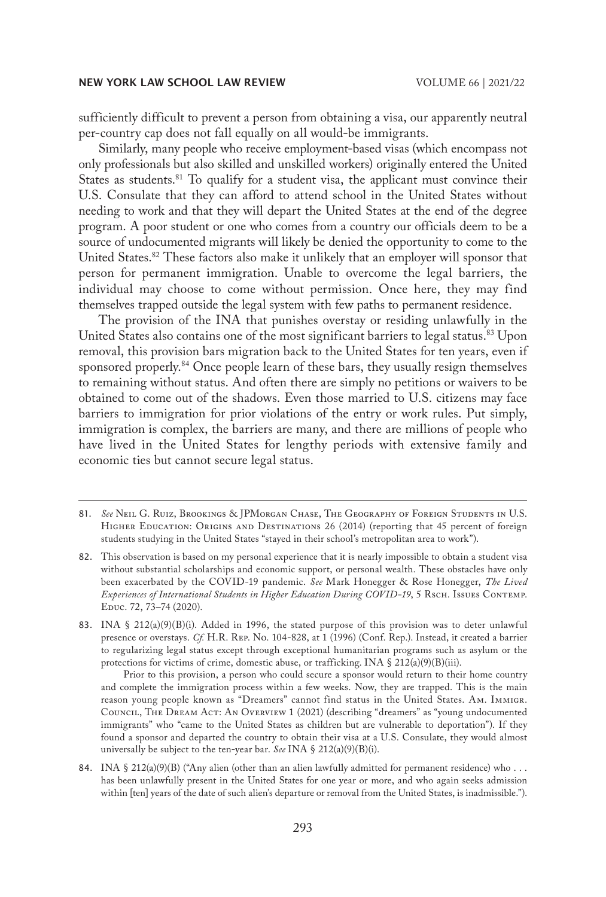sufficiently difficult to prevent a person from obtaining a visa, our apparently neutral per-country cap does not fall equally on all would-be immigrants.

Similarly, many people who receive employment-based visas (which encompass not only professionals but also skilled and unskilled workers) originally entered the United States as students.<sup>81</sup> To qualify for a student visa, the applicant must convince their U.S. Consulate that they can afford to attend school in the United States without needing to work and that they will depart the United States at the end of the degree program. A poor student or one who comes from a country our officials deem to be a source of undocumented migrants will likely be denied the opportunity to come to the United States.<sup>82</sup> These factors also make it unlikely that an employer will sponsor that person for permanent immigration. Unable to overcome the legal barriers, the individual may choose to come without permission. Once here, they may find themselves trapped outside the legal system with few paths to permanent residence.

The provision of the INA that punishes overstay or residing unlawfully in the United States also contains one of the most significant barriers to legal status.<sup>83</sup> Upon removal, this provision bars migration back to the United States for ten years, even if sponsored properly.<sup>84</sup> Once people learn of these bars, they usually resign themselves to remaining without status. And often there are simply no petitions or waivers to be obtained to come out of the shadows. Even those married to U.S. citizens may face barriers to immigration for prior violations of the entry or work rules. Put simply, immigration is complex, the barriers are many, and there are millions of people who have lived in the United States for lengthy periods with extensive family and economic ties but cannot secure legal status.

Prior to this provision, a person who could secure a sponsor would return to their home country and complete the immigration process within a few weeks. Now, they are trapped. This is the main reason young people known as "Dreamers" cannot find status in the United States. Am. Immigr. Council, The Dream Act: An Overview 1 (2021) (describing "dreamers" as "young undocumented immigrants" who "came to the United States as children but are vulnerable to deportation"). If they found a sponsor and departed the country to obtain their visa at a U.S. Consulate, they would almost universally be subject to the ten-year bar. *See* INA § 212(a)(9)(B)(i).

84. INA  $\S 212(a)(9)(B)$  ("Any alien (other than an alien lawfully admitted for permanent residence) who ... has been unlawfully present in the United States for one year or more, and who again seeks admission within [ten] years of the date of such alien's departure or removal from the United States, is inadmissible.").

<sup>81.</sup> *See* Neil G. Ruiz, Brookings & JPMorgan Chase, The Geography of Foreign Students in U.S. HIGHER EDUCATION: ORIGINS AND DESTINATIONS 26 (2014) (reporting that 45 percent of foreign students studying in the United States "stayed in their school's metropolitan area to work").

<sup>82.</sup> This observation is based on my personal experience that it is nearly impossible to obtain a student visa without substantial scholarships and economic support, or personal wealth. These obstacles have only been exacerbated by the COVID-19 pandemic. *See* Mark Honegger & Rose Honegger, *The Lived Experiences of International Students in Higher Education During COVID-19*, 5 Rsch. Issues Contemp. Educ. 72, 73–74 (2020).

<sup>83.</sup> INA § 212(a)(9)(B)(i). Added in 1996, the stated purpose of this provision was to deter unlawful presence or overstays. *Cf.* H.R. Rep. No. 104-828, at 1 (1996) (Conf. Rep.). Instead, it created a barrier to regularizing legal status except through exceptional humanitarian programs such as asylum or the protections for victims of crime, domestic abuse, or trafficking. INA § 212(a)(9)(B)(iii).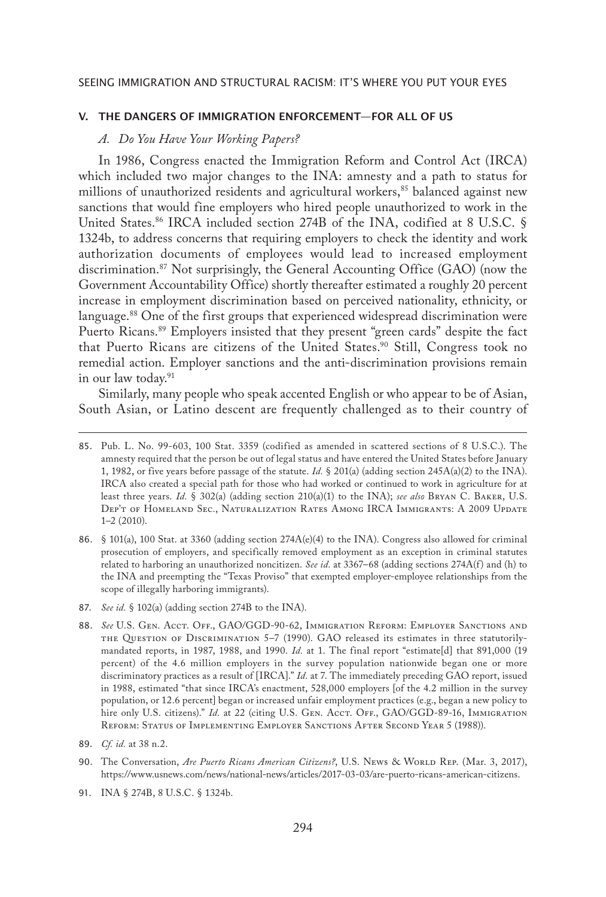# V. THE DANGERS OF IMMIGRATION ENFORCEMENT—FOR ALL OF US

# *A. Do You Have Your Working Papers?*

In 1986, Congress enacted the Immigration Reform and Control Act (IRCA) which included two major changes to the INA: amnesty and a path to status for millions of unauthorized residents and agricultural workers,<sup>85</sup> balanced against new sanctions that would fine employers who hired people unauthorized to work in the United States.<sup>86</sup> IRCA included section 274B of the INA, codified at 8 U.S.C. § 1324b, to address concerns that requiring employers to check the identity and work authorization documents of employees would lead to increased employment discrimination.87 Not surprisingly, the General Accounting Office (GAO) (now the Government Accountability Office) shortly thereafter estimated a roughly 20 percent increase in employment discrimination based on perceived nationality, ethnicity, or language.<sup>88</sup> One of the first groups that experienced widespread discrimination were Puerto Ricans.<sup>89</sup> Employers insisted that they present "green cards" despite the fact that Puerto Ricans are citizens of the United States.<sup>90</sup> Still, Congress took no remedial action. Employer sanctions and the anti-discrimination provisions remain in our law today.<sup>91</sup>

Similarly, many people who speak accented English or who appear to be of Asian, South Asian, or Latino descent are frequently challenged as to their country of

<sup>85.</sup> Pub. L. No. 99-603, 100 Stat. 3359 (codified as amended in scattered sections of 8 U.S.C.). The amnesty required that the person be out of legal status and have entered the United States before January 1, 1982, or five years before passage of the statute. *Id.* § 201(a) (adding section 245A(a)(2) to the INA). IRCA also created a special path for those who had worked or continued to work in agriculture for at least three years. *Id.* § 302(a) (adding section 210(a)(1) to the INA); *see also* Bryan C. Baker, U.S. Dep't of Homeland Sec., Naturalization Rates Among IRCA Immigrants: A 2009 Update 1–2 (2010).

<sup>86.</sup> § 101(a), 100 Stat. at 3360 (adding section 274A(e)(4) to the INA). Congress also allowed for criminal prosecution of employers, and specifically removed employment as an exception in criminal statutes related to harboring an unauthorized noncitizen. *See id.* at 3367–68 (adding sections 274A(f) and (h) to the INA and preempting the "Texas Proviso" that exempted employer-employee relationships from the scope of illegally harboring immigrants).

<sup>87.</sup> *See id.* § 102(a) (adding section 274B to the INA).

<sup>88.</sup> *See* U.S. Gen. Acct. Off., GAO/GGD-90-62, Immigration Reform: Employer Sanctions and the Question of Discrimination 5–7 (1990). GAO released its estimates in three statutorilymandated reports, in 1987, 1988, and 1990. *Id.* at 1. The final report "estimate[d] that 891,000 (19 percent) of the 4.6 million employers in the survey population nationwide began one or more discriminatory practices as a result of [IRCA]." *Id.* at 7. The immediately preceding GAO report, issued in 1988, estimated "that since IRCA's enactment, 528,000 employers [of the 4.2 million in the survey population, or 12.6 percent] began or increased unfair employment practices (e.g., began a new policy to hire only U.S. citizens)." *Id.* at 22 (citing U.S. GEN. Acct. Off., GAO/GGD-89-16, IMMIGRATION Reform: Status of Implementing Employer Sanctions After Second Year 5 (1988)).

<sup>89.</sup> *Cf. id.* at 38 n.2.

<sup>90.</sup> The Conversation, *Are Puerto Ricans American Citizens?*, U.S. News & World Rep. (Mar. 3, 2017), https://www.usnews.com/news/national-news/articles/2017-03-03/are-puerto-ricans-american-citizens.

<sup>91.</sup> INA § 274B, 8 U.S.C. § 1324b.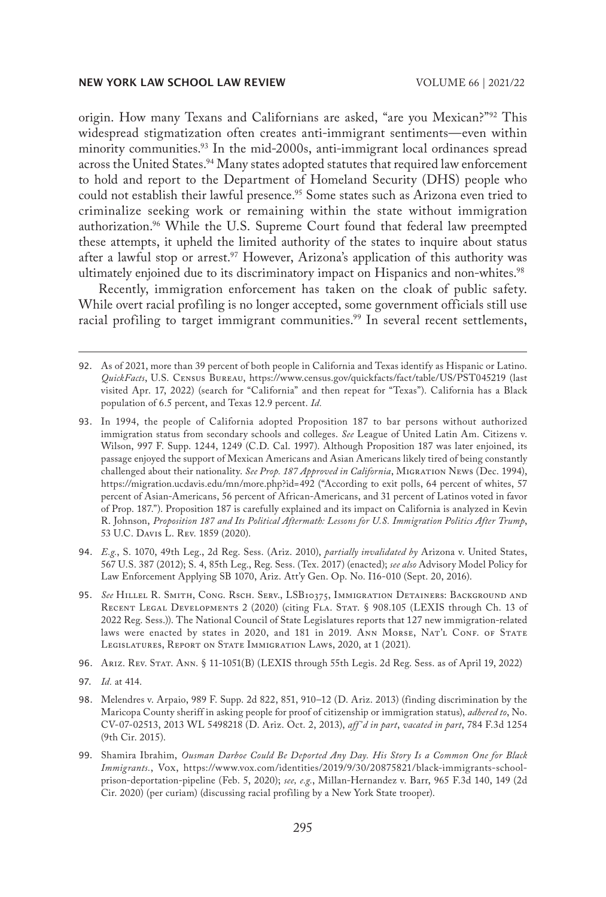origin. How many Texans and Californians are asked, "are you Mexican?"92 This widespread stigmatization often creates anti-immigrant sentiments—even within minority communities.<sup>93</sup> In the mid-2000s, anti-immigrant local ordinances spread across the United States.<sup>94</sup> Many states adopted statutes that required law enforcement to hold and report to the Department of Homeland Security (DHS) people who could not establish their lawful presence.<sup>95</sup> Some states such as Arizona even tried to criminalize seeking work or remaining within the state without immigration authorization.<sup>96</sup> While the U.S. Supreme Court found that federal law preempted these attempts, it upheld the limited authority of the states to inquire about status after a lawful stop or arrest.<sup>97</sup> However, Arizona's application of this authority was ultimately enjoined due to its discriminatory impact on Hispanics and non-whites.<sup>98</sup>

Recently, immigration enforcement has taken on the cloak of public safety. While overt racial profiling is no longer accepted, some government officials still use racial profiling to target immigrant communities.<sup>99</sup> In several recent settlements,

- 94. *E.g.*, S. 1070, 49th Leg., 2d Reg. Sess. (Ariz. 2010), *partially invalidated by* Arizona v. United States, 567 U.S. 387 (2012); S. 4, 85th Leg., Reg. Sess. (Tex. 2017) (enacted); *see also* Advisory Model Policy for Law Enforcement Applying SB 1070, Ariz. Att'y Gen. Op. No. I16-010 (Sept. 20, 2016).
- 95. *See* Hillel R. Smith, Cong. Rsch. Serv., LSB10375, Immigration Detainers: Background and RECENT LEGAL DEVELOPMENTS 2 (2020) (citing FLA. STAT. § 908.105 (LEXIS through Ch. 13 of 2022 Reg. Sess.)). The National Council of State Legislatures reports that 127 new immigration-related laws were enacted by states in 2020, and 181 in 2019. ANN MORSE, NAT'L CONF. OF STATE LEGISLATURES, REPORT ON STATE IMMIGRATION LAWS, 2020, at 1 (2021).
- 96. Ariz. Rev. Stat. Ann. § 11-1051(B) (LEXIS through 55th Legis. 2d Reg. Sess. as of April 19, 2022)
- 97. *Id.* at 414.
- 98. Melendres v. Arpaio, 989 F. Supp. 2d 822, 851, 910–12 (D. Ariz. 2013) (finding discrimination by the Maricopa County sheriff in asking people for proof of citizenship or immigration status), *adhered to*, No. CV-07-02513, 2013 WL 5498218 (D. Ariz. Oct. 2, 2013), *aff 'd in part*, *vacated in part*, 784 F.3d 1254 (9th Cir. 2015).
- 99. Shamira Ibrahim, *Ousman Darboe Could Be Deported Any Day. His Story Is a Common One for Black Immigrants.*, Vox, https://www.vox.com/identities/2019/9/30/20875821/black-immigrants-schoolprison-deportation-pipeline (Feb. 5, 2020); *see, e.g.*, Millan-Hernandez v. Barr, 965 F.3d 140, 149 (2d Cir. 2020) (per curiam) (discussing racial profiling by a New York State trooper).

<sup>92.</sup> As of 2021, more than 39 percent of both people in California and Texas identify as Hispanic or Latino. *QuickFacts*, U.S. Census Bureau, https://www.census.gov/quickfacts/fact/table/US/PST045219 (last visited Apr. 17, 2022) (search for "California" and then repeat for "Texas"). California has a Black population of 6.5 percent, and Texas 12.9 percent. *Id.*

<sup>93.</sup> In 1994, the people of California adopted Proposition 187 to bar persons without authorized immigration status from secondary schools and colleges. *See* League of United Latin Am. Citizens v. Wilson, 997 F. Supp. 1244, 1249 (C.D. Cal. 1997). Although Proposition 187 was later enjoined, its passage enjoyed the support of Mexican Americans and Asian Americans likely tired of being constantly challenged about their nationality. *See Prop. 187 Approved in California*, Migration News (Dec. 1994), https://migration.ucdavis.edu/mn/more.php?id=492 ("According to exit polls, 64 percent of whites, 57 percent of Asian-Americans, 56 percent of African-Americans, and 31 percent of Latinos voted in favor of Prop. 187."). Proposition 187 is carefully explained and its impact on California is analyzed in Kevin R. Johnson, *Proposition 187 and Its Political Aftermath: Lessons for U.S. Immigration Politics After Trump*, 53 U.C. Davis L. Rev. 1859 (2020).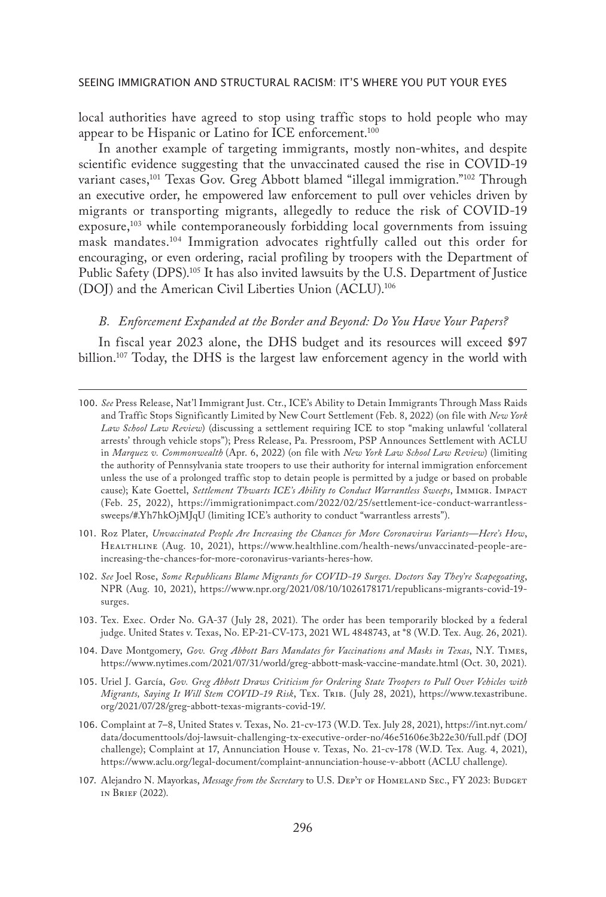local authorities have agreed to stop using traffic stops to hold people who may appear to be Hispanic or Latino for ICE enforcement.100

In another example of targeting immigrants, mostly non-whites, and despite scientific evidence suggesting that the unvaccinated caused the rise in COVID-19 variant cases,<sup>101</sup> Texas Gov. Greg Abbott blamed "illegal immigration."<sup>102</sup> Through an executive order, he empowered law enforcement to pull over vehicles driven by migrants or transporting migrants, allegedly to reduce the risk of COVID-19 exposure,<sup>103</sup> while contemporaneously forbidding local governments from issuing mask mandates.104 Immigration advocates rightfully called out this order for encouraging, or even ordering, racial profiling by troopers with the Department of Public Safety (DPS).105 It has also invited lawsuits by the U.S. Department of Justice (DOJ) and the American Civil Liberties Union (ACLU).106

# *B. Enforcement Expanded at the Border and Beyond: Do You Have Your Papers?*

In fiscal year 2023 alone, the DHS budget and its resources will exceed \$97 billion.<sup>107</sup> Today, the DHS is the largest law enforcement agency in the world with

- 101. Roz Plater, *Unvaccinated People Are Increasing the Chances for More Coronavirus Variants—Here's How*, Healthline (Aug. 10, 2021), https://www.healthline.com/health-news/unvaccinated-people-areincreasing-the-chances-for-more-coronavirus-variants-heres-how.
- 102. *See* Joel Rose, *Some Republicans Blame Migrants for COVID-19 Surges. Doctors Say They're Scapegoating*, NPR (Aug. 10, 2021), https://www.npr.org/2021/08/10/1026178171/republicans-migrants-covid-19 surges.
- 103. Tex. Exec. Order No. GA-37 (July 28, 2021). The order has been temporarily blocked by a federal judge. United States v. Texas, No. EP-21-CV-173, 2021 WL 4848743, at \*8 (W.D. Tex. Aug. 26, 2021).
- 104. Dave Montgomery, *Gov. Greg Abbott Bars Mandates for Vaccinations and Masks in Texas*, N.Y. Times, https://www.nytimes.com/2021/07/31/world/greg-abbott-mask-vaccine-mandate.html (Oct. 30, 2021).
- 105. Uriel J. García, *Gov. Greg Abbott Draws Criticism for Ordering State Troopers to Pull Over Vehicles with Migrants, Saying It Will Stem COVID-19 Risk*, Tex. Trib. (July 28, 2021), https://www.texastribune. org/2021/07/28/greg-abbott-texas-migrants-covid-19/.
- 106. Complaint at 7–8, United States v. Texas, No. 21-cv-173 (W.D. Tex. July 28, 2021), https://int.nyt.com/ data/documenttools/doj-lawsuit-challenging-tx-executive-order-no/46e51606e3b22e30/full.pdf (DOJ challenge); Complaint at 17, Annunciation House v. Texas, No. 21-cv-178 (W.D. Tex. Aug. 4, 2021), https://www.aclu.org/legal-document/complaint-annunciation-house-v-abbott (ACLU challenge).
- 107. Alejandro N. Mayorkas, *Message from the Secretary* to U.S. DEP'T OF HOMELAND SEC., FY 2023: BUDGET in Brief (2022).

<sup>100.</sup> *See* Press Release, Nat'l Immigrant Just. Ctr., ICE's Ability to Detain Immigrants Through Mass Raids and Traffic Stops Significantly Limited by New Court Settlement (Feb. 8, 2022) (on file with *New York Law School Law Review*) (discussing a settlement requiring ICE to stop "making unlawful 'collateral arrests' through vehicle stops"); Press Release, Pa. Pressroom, PSP Announces Settlement with ACLU in *Marquez v. Commonwealth* (Apr. 6, 2022) (on file with *New York Law School Law Review*) (limiting the authority of Pennsylvania state troopers to use their authority for internal immigration enforcement unless the use of a prolonged traffic stop to detain people is permitted by a judge or based on probable cause); Kate Goettel, *Settlement Thwarts ICE's Ability to Conduct Warrantless Sweeps*, IMMIGR. IMPACT (Feb. 25, 2022), https://immigrationimpact.com/2022/02/25/settlement-ice-conduct-warrantlesssweeps/#.Yh7hkOjMJqU (limiting ICE's authority to conduct "warrantless arrests").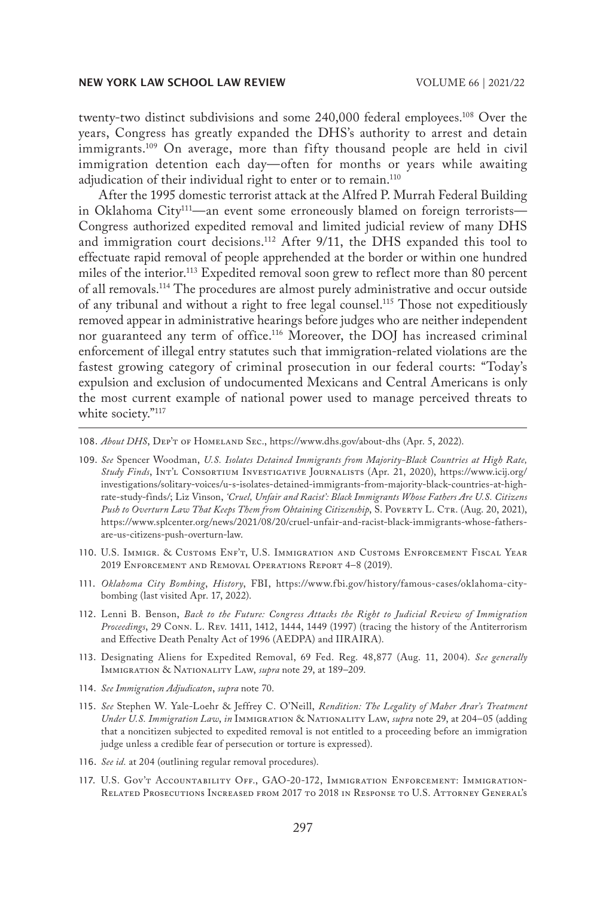twenty-two distinct subdivisions and some 240,000 federal employees.<sup>108</sup> Over the years, Congress has greatly expanded the DHS's authority to arrest and detain immigrants.<sup>109</sup> On average, more than fifty thousand people are held in civil immigration detention each day—often for months or years while awaiting adjudication of their individual right to enter or to remain.<sup>110</sup>

After the 1995 domestic terrorist attack at the Alfred P. Murrah Federal Building in Oklahoma City<sup>111</sup>—an event some erroneously blamed on foreign terrorists— Congress authorized expedited removal and limited judicial review of many DHS and immigration court decisions.112 After 9/11, the DHS expanded this tool to effectuate rapid removal of people apprehended at the border or within one hundred miles of the interior.<sup>113</sup> Expedited removal soon grew to reflect more than 80 percent of all removals.114 The procedures are almost purely administrative and occur outside of any tribunal and without a right to free legal counsel.115 Those not expeditiously removed appear in administrative hearings before judges who are neither independent nor guaranteed any term of office.116 Moreover, the DOJ has increased criminal enforcement of illegal entry statutes such that immigration-related violations are the fastest growing category of criminal prosecution in our federal courts: "Today's expulsion and exclusion of undocumented Mexicans and Central Americans is only the most current example of national power used to manage perceived threats to white society."<sup>117</sup>

108. *About DHS*, Dep't of Homeland Sec., https://www.dhs.gov/about-dhs (Apr. 5, 2022).

- 109. *See* Spencer Woodman, *U.S. Isolates Detained Immigrants from Majority-Black Countries at High Rate, Study Finds*, Int'l Consortium Investigative Journalists (Apr. 21, 2020), https://www.icij.org/ investigations/solitary-voices/u-s-isolates-detained-immigrants-from-majority-black-countries-at-highrate-study-finds/; Liz Vinson, *'Cruel, Unfair and Racist': Black Immigrants Whose Fathers Are U.S. Citizens*  Push to Overturn Law That Keeps Them from Obtaining Citizenship, S. Poverty L. CTR. (Aug. 20, 2021), https://www.splcenter.org/news/2021/08/20/cruel-unfair-and-racist-black-immigrants-whose-fathersare-us-citizens-push-overturn-law.
- 110. U.S. Immigr. & Customs Enf't, U.S. Immigration and Customs Enforcement Fiscal Year 2019 Enforcement and Removal Operations Report 4–8 (2019).
- 111. *Oklahoma City Bombing*, *History*, FBI, https://www.fbi.gov/history/famous-cases/oklahoma-citybombing (last visited Apr. 17, 2022).
- 112. Lenni B. Benson, *Back to the Future: Congress Attacks the Right to Judicial Review of Immigration Proceedings*, 29 Conn. L. Rev. 1411, 1412, 1444, 1449 (1997) (tracing the history of the Antiterrorism and Effective Death Penalty Act of 1996 (AEDPA) and IIRAIRA).
- 113. Designating Aliens for Expedited Removal, 69 Fed. Reg. 48,877 (Aug. 11, 2004). *See generally* Immigration & Nationality Law, *supra* note 29, at 189–209.
- 114. *See Immigration Adjudicaton*, *supra* note 70.
- 115. *See* Stephen W. Yale-Loehr & Jeffrey C. O'Neill, *Rendition: The Legality of Maher Arar's Treatment Under U.S. Immigration Law*, *in* Immigration & Nationality Law, *supra* note 29, at 204–05 (adding that a noncitizen subjected to expedited removal is not entitled to a proceeding before an immigration judge unless a credible fear of persecution or torture is expressed).
- 116. *See id.* at 204 (outlining regular removal procedures).
- 117. U.S. Gov't Accountability Off., GAO-20-172, Immigration Enforcement: Immigration-Related Prosecutions Increased from 2017 to 2018 in Response to U.S. Attorney General's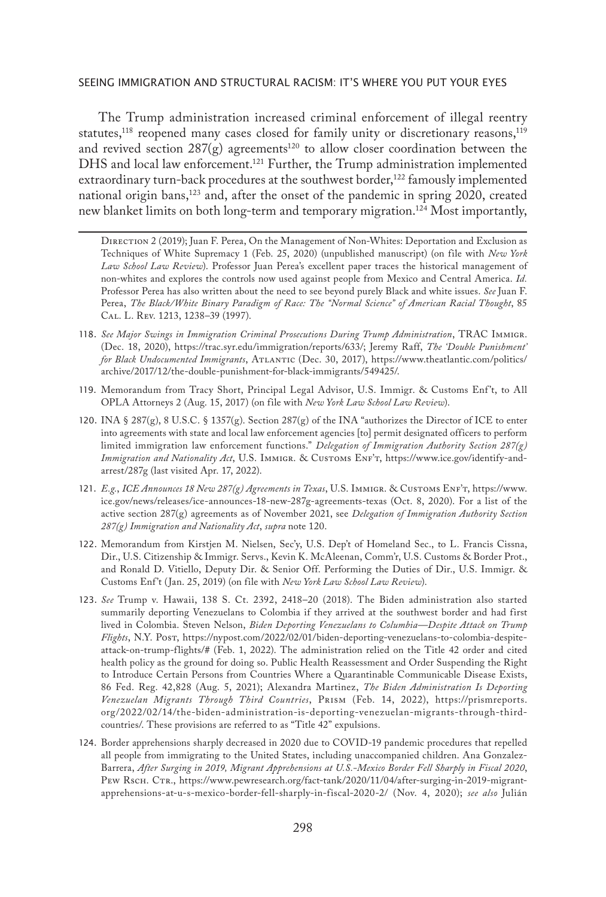The Trump administration increased criminal enforcement of illegal reentry statutes,<sup>118</sup> reopened many cases closed for family unity or discretionary reasons,<sup>119</sup> and revived section  $287(g)$  agreements<sup>120</sup> to allow closer coordination between the DHS and local law enforcement.<sup>121</sup> Further, the Trump administration implemented extraordinary turn-back procedures at the southwest border,<sup>122</sup> famously implemented national origin bans,<sup>123</sup> and, after the onset of the pandemic in spring 2020, created new blanket limits on both long-term and temporary migration.124 Most importantly,

Direction 2 (2019); Juan F. Perea, On the Management of Non-Whites: Deportation and Exclusion as Techniques of White Supremacy 1 (Feb. 25, 2020) (unpublished manuscript) (on file with *New York Law School Law Review*). Professor Juan Perea's excellent paper traces the historical management of non-whites and explores the controls now used against people from Mexico and Central America. *Id.* Professor Perea has also written about the need to see beyond purely Black and white issues. *See* Juan F. Perea, *The Black/White Binary Paradigm of Race: The "Normal Science" of American Racial Thought*, 85 Cal. L. Rev. 1213, 1238–39 (1997).

- 118. *See Major Swings in Immigration Criminal Prosecutions During Trump Administration*, TRAC Immigr. (Dec. 18, 2020), https://trac.syr.edu/immigration/reports/633/; Jeremy Raff, *The 'Double Punishment' for Black Undocumented Immigrants*, Atlantic (Dec. 30, 2017), https://www.theatlantic.com/politics/ archive/2017/12/the-double-punishment-for-black-immigrants/549425/.
- 119. Memorandum from Tracy Short, Principal Legal Advisor, U.S. Immigr. & Customs Enf't, to All OPLA Attorneys 2 (Aug. 15, 2017) (on file with *New York Law School Law Review*).
- 120. INA § 287(g), 8 U.S.C. § 1357(g). Section 287(g) of the INA "authorizes the Director of ICE to enter into agreements with state and local law enforcement agencies [to] permit designated officers to perform limited immigration law enforcement functions." *Delegation of Immigration Authority Section 287(g) Immigration and Nationality Act*, U.S. Immigr. & Customs Enf't, https://www.ice.gov/identify-andarrest/287g (last visited Apr. 17, 2022).
- 121. *E.g.*, *ICE Announces 18 New 287(g) Agreements in Texas*, U.S. Immigr. & Customs Enf't, https://www. ice.gov/news/releases/ice-announces-18-new-287g-agreements-texas (Oct. 8, 2020). For a list of the active section 287(g) agreements as of November 2021, see *Delegation of Immigration Authority Section 287(g) Immigration and Nationality Act*, *supra* note 120.
- 122. Memorandum from Kirstjen M. Nielsen, Sec'y, U.S. Dep't of Homeland Sec., to L. Francis Cissna, Dir., U.S. Citizenship & Immigr. Servs., Kevin K. McAleenan, Comm'r, U.S. Customs & Border Prot., and Ronald D. Vitiello, Deputy Dir. & Senior Off. Performing the Duties of Dir., U.S. Immigr. & Customs Enf't (Jan. 25, 2019) (on file with *New York Law School Law Review*).
- 123. *See* Trump v. Hawaii, 138 S. Ct. 2392, 2418–20 (2018). The Biden administration also started summarily deporting Venezuelans to Colombia if they arrived at the southwest border and had first lived in Colombia. Steven Nelson, *Biden Deporting Venezuelans to Columbia—Despite Attack on Trump Flights*, N.Y. Post, https://nypost.com/2022/02/01/biden-deporting-venezuelans-to-colombia-despiteattack-on-trump-flights/# (Feb. 1, 2022). The administration relied on the Title 42 order and cited health policy as the ground for doing so. Public Health Reassessment and Order Suspending the Right to Introduce Certain Persons from Countries Where a Quarantinable Communicable Disease Exists, 86 Fed. Reg. 42,828 (Aug. 5, 2021); Alexandra Martinez, *The Biden Administration Is Deporting Venezuelan Migrants Through Third Countries*, Prism (Feb. 14, 2022), https://prismreports. org/2022/02/14/the-biden-administration-is-deporting-venezuelan-migrants-through-thirdcountries/. These provisions are referred to as "Title 42" expulsions.
- 124. Border apprehensions sharply decreased in 2020 due to COVID-19 pandemic procedures that repelled all people from immigrating to the United States, including unaccompanied children. Ana Gonzalez-Barrera, *After Surging in 2019, Migrant Apprehensions at U.S.-Mexico Border Fell Sharply in Fiscal 2020*, PEW Rsch. CTR., https://www.pewresearch.org/fact-tank/2020/11/04/after-surging-in-2019-migrantapprehensions-at-u-s-mexico-border-fell-sharply-in-fiscal-2020-2/ (Nov. 4, 2020); *see also* Julián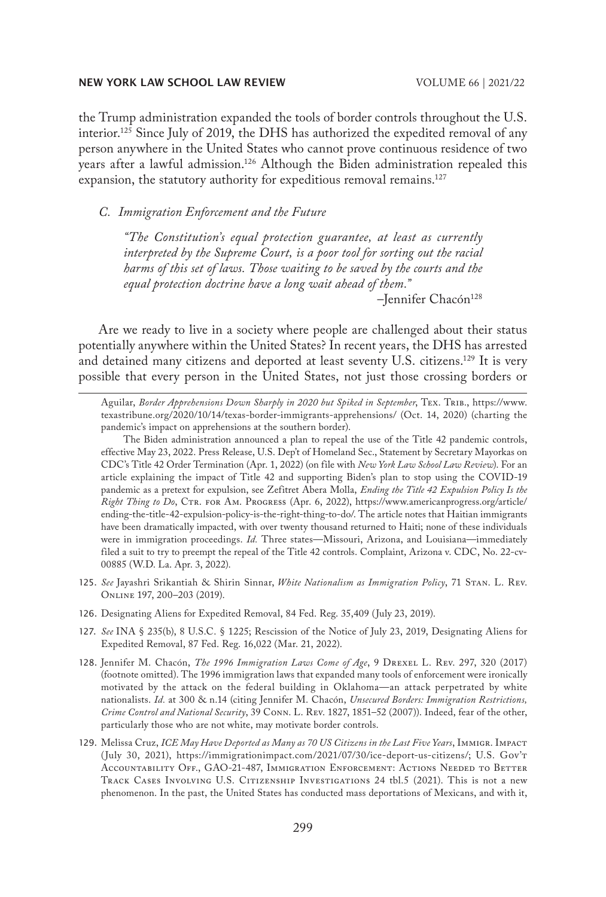the Trump administration expanded the tools of border controls throughout the U.S. interior.125 Since July of 2019, the DHS has authorized the expedited removal of any person anywhere in the United States who cannot prove continuous residence of two years after a lawful admission.<sup>126</sup> Although the Biden administration repealed this expansion, the statutory authority for expeditious removal remains.<sup>127</sup>

# *C. Immigration Enforcement and the Future*

*"The Constitution's equal protection guarantee, at least as currently interpreted by the Supreme Court, is a poor tool for sorting out the racial harms of this set of laws. Those waiting to be saved by the courts and the equal protection doctrine have a long wait ahead of them."*

-Jennifer Chacón<sup>128</sup>

Are we ready to live in a society where people are challenged about their status potentially anywhere within the United States? In recent years, the DHS has arrested and detained many citizens and deported at least seventy U.S. citizens.<sup>129</sup> It is very possible that every person in the United States, not just those crossing borders or

Aguilar, *Border Apprehensions Down Sharply in 2020 but Spiked in September*, Tex. Trib., https://www. texastribune.org/2020/10/14/texas-border-immigrants-apprehensions/ (Oct. 14, 2020) (charting the pandemic's impact on apprehensions at the southern border).

The Biden administration announced a plan to repeal the use of the Title 42 pandemic controls, effective May 23, 2022. Press Release, U.S. Dep't of Homeland Sec., Statement by Secretary Mayorkas on CDC's Title 42 Order Termination (Apr. 1, 2022) (on file with *New York Law School Law Review*). For an article explaining the impact of Title 42 and supporting Biden's plan to stop using the COVID-19 pandemic as a pretext for expulsion, see Zefitret Abera Molla, *Ending the Title 42 Expulsion Policy Is the Right Thing to Do*, Ctr. for Am. Progress (Apr. 6, 2022), https://www.americanprogress.org/article/ ending-the-title-42-expulsion-policy-is-the-right-thing-to-do/. The article notes that Haitian immigrants have been dramatically impacted, with over twenty thousand returned to Haiti; none of these individuals were in immigration proceedings. *Id.* Three states—Missouri, Arizona, and Louisiana—immediately filed a suit to try to preempt the repeal of the Title 42 controls. Complaint, Arizona v. CDC, No. 22-cv-00885 (W.D. La. Apr. 3, 2022).

- 125. *See* Jayashri Srikantiah & Shirin Sinnar, *White Nationalism as Immigration Policy*, 71 Stan. L. Rev. Online 197, 200–203 (2019).
- 126. Designating Aliens for Expedited Removal, 84 Fed. Reg. 35,409 (July 23, 2019).
- 127. *See* INA § 235(b), 8 U.S.C. § 1225; Rescission of the Notice of July 23, 2019, Designating Aliens for Expedited Removal, 87 Fed. Reg. 16,022 (Mar. 21, 2022).
- 128. Jennifer M. Chacón, *The 1996 Immigration Laws Come of Age*, 9 Drexel L. Rev. 297, 320 (2017) (footnote omitted). The 1996 immigration laws that expanded many tools of enforcement were ironically motivated by the attack on the federal building in Oklahoma—an attack perpetrated by white nationalists. *Id.* at 300 & n.14 (citing Jennifer M. Chacón, *Unsecured Borders: Immigration Restrictions, Crime Control and National Security*, 39 Conn. L. Rev. 1827, 1851–52 (2007)). Indeed, fear of the other, particularly those who are not white, may motivate border controls.
- 129. Melissa Cruz, *ICE May Have Deported as Many as 70 US Citizens in the Last Five Years*, Immigr. Impact (July 30, 2021), https://immigrationimpact.com/2021/07/30/ice-deport-us-citizens/; U.S. Gov't Accountability Off., GAO-21-487, Immigration Enforcement: Actions Needed to Better Track Cases Involving U.S. Citizenship Investigations 24 tbl.5 (2021). This is not a new phenomenon. In the past, the United States has conducted mass deportations of Mexicans, and with it,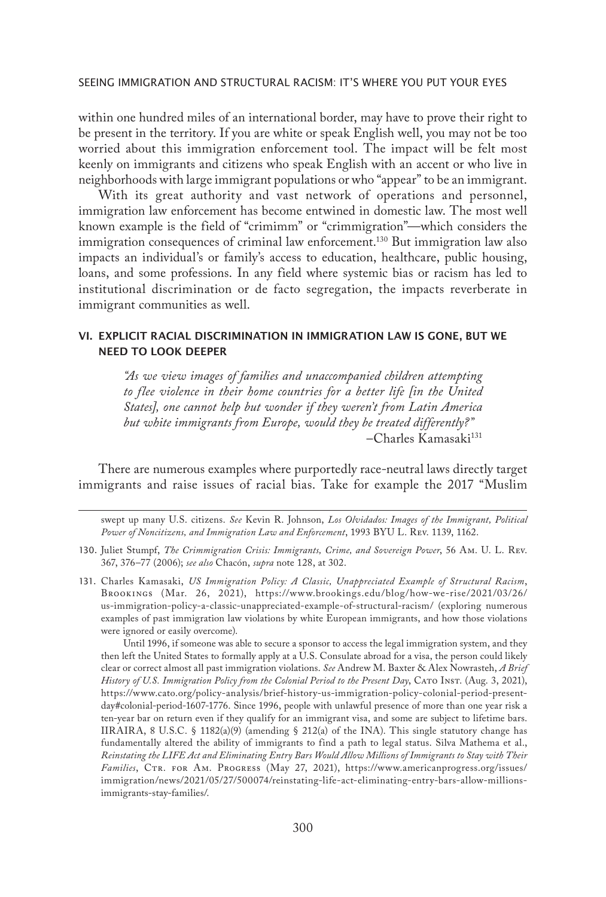within one hundred miles of an international border, may have to prove their right to be present in the territory. If you are white or speak English well, you may not be too worried about this immigration enforcement tool. The impact will be felt most keenly on immigrants and citizens who speak English with an accent or who live in neighborhoods with large immigrant populations or who "appear" to be an immigrant.

With its great authority and vast network of operations and personnel, immigration law enforcement has become entwined in domestic law. The most well known example is the field of "crimimm" or "crimmigration"—which considers the immigration consequences of criminal law enforcement.<sup>130</sup> But immigration law also impacts an individual's or family's access to education, healthcare, public housing, loans, and some professions. In any field where systemic bias or racism has led to institutional discrimination or de facto segregation, the impacts reverberate in immigrant communities as well.

# VI. EXPLICIT RACIAL DISCRIMINATION IN IMMIGRATION LAW IS GONE, BUT WE NEED TO LOOK DEEPER

*"As we view images of families and unaccompanied children attempting to flee violence in their home countries for a better life [in the United States], one cannot help but wonder if they weren't from Latin America but white immigrants from Europe, would they be treated differently?"* –Charles Kamasaki131

There are numerous examples where purportedly race-neutral laws directly target immigrants and raise issues of racial bias. Take for example the 2017 "Muslim

swept up many U.S. citizens. *See* Kevin R. Johnson, *Los Olvidados: Images of the Immigrant, Political Power of Noncitizens, and Immigration Law and Enforcement*, 1993 BYU L. Rev. 1139, 1162.

- 130. Juliet Stumpf, *The Crimmigration Crisis: Immigrants, Crime, and Sovereign Power*, 56 Am. U. L. Rev. 367, 376–77 (2006); *see also* Chacón, *supra* note 128, at 302.
- 131. Charles Kamasaki, *US Immigration Policy: A Classic, Unappreciated Example of Structural Racism*, Brookings (Mar. 26, 2021), https://www.brookings.edu/blog/how-we-rise/2021/03/26/ us-immigration-policy-a-classic-unappreciated-example-of-structural-racism/ (exploring numerous examples of past immigration law violations by white European immigrants, and how those violations were ignored or easily overcome).

Until 1996, if someone was able to secure a sponsor to access the legal immigration system, and they then left the United States to formally apply at a U.S. Consulate abroad for a visa, the person could likely clear or correct almost all past immigration violations. *See* Andrew M. Baxter & Alex Nowrasteh, *A Brief History of U.S. Immigration Policy from the Colonial Period to the Present Day*, Cato Inst. (Aug. 3, 2021), https://www.cato.org/policy-analysis/brief-history-us-immigration-policy-colonial-period-presentday#colonial-period-1607-1776. Since 1996, people with unlawful presence of more than one year risk a ten-year bar on return even if they qualify for an immigrant visa, and some are subject to lifetime bars. IIRAIRA, 8 U.S.C. § 1182(a)(9) (amending § 212(a) of the INA). This single statutory change has fundamentally altered the ability of immigrants to find a path to legal status. Silva Mathema et al., *Reinstating the LIFE Act and Eliminating Entry Bars Would Allow Millions of Immigrants to Stay with Their*  Families, CTR. FOR AM. PROGRESS (May 27, 2021), https://www.americanprogress.org/issues/ immigration/news/2021/05/27/500074/reinstating-life-act-eliminating-entry-bars-allow-millionsimmigrants-stay-families/.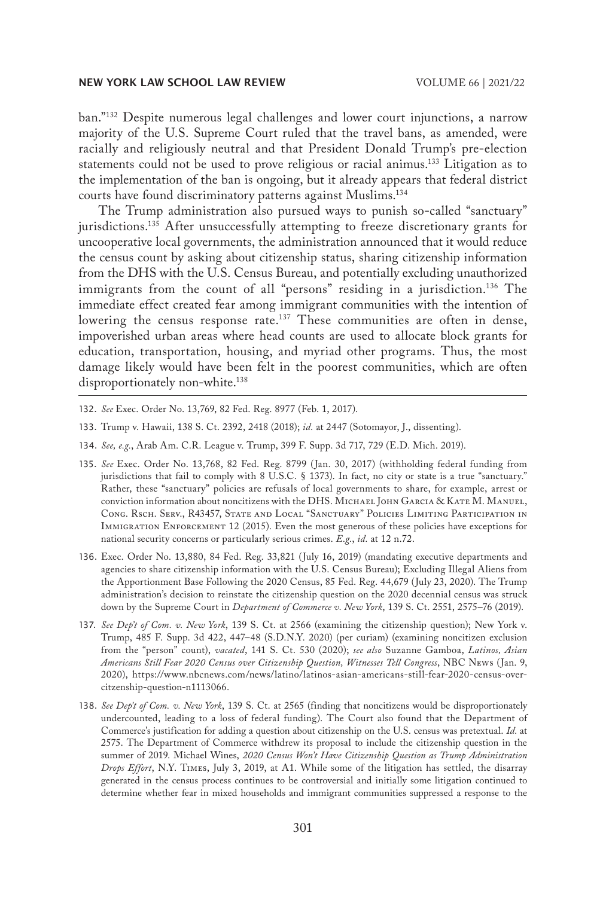ban."132 Despite numerous legal challenges and lower court injunctions, a narrow majority of the U.S. Supreme Court ruled that the travel bans, as amended, were racially and religiously neutral and that President Donald Trump's pre-election statements could not be used to prove religious or racial animus.133 Litigation as to the implementation of the ban is ongoing, but it already appears that federal district courts have found discriminatory patterns against Muslims.134

The Trump administration also pursued ways to punish so-called "sanctuary" jurisdictions.135 After unsuccessfully attempting to freeze discretionary grants for uncooperative local governments, the administration announced that it would reduce the census count by asking about citizenship status, sharing citizenship information from the DHS with the U.S. Census Bureau, and potentially excluding unauthorized immigrants from the count of all "persons" residing in a jurisdiction.<sup>136</sup> The immediate effect created fear among immigrant communities with the intention of lowering the census response rate.<sup>137</sup> These communities are often in dense, impoverished urban areas where head counts are used to allocate block grants for education, transportation, housing, and myriad other programs. Thus, the most damage likely would have been felt in the poorest communities, which are often disproportionately non-white.<sup>138</sup>

- 132. *See* Exec. Order No. 13,769, 82 Fed. Reg. 8977 (Feb. 1, 2017).
- 133. Trump v. Hawaii, 138 S. Ct. 2392, 2418 (2018); *id.* at 2447 (Sotomayor, J., dissenting).
- 134. *See, e.g.*, Arab Am. C.R. League v. Trump, 399 F. Supp. 3d 717, 729 (E.D. Mich. 2019).
- 135. *See* Exec. Order No. 13,768, 82 Fed. Reg. 8799 (Jan. 30, 2017) (withholding federal funding from jurisdictions that fail to comply with 8 U.S.C. § 1373). In fact, no city or state is a true "sanctuary." Rather, these "sanctuary" policies are refusals of local governments to share, for example, arrest or conviction information about noncitizens with the DHS. Michael John Garcia & Kate M. Manuel, Cong. Rsch. Serv., R43457, State and Local "Sanctuary" Policies Limiting Participation in Immigration Enforcement 12 (2015). Even the most generous of these policies have exceptions for national security concerns or particularly serious crimes. *E.g.*, *id.* at 12 n.72.
- 136. Exec. Order No. 13,880, 84 Fed. Reg. 33,821 (July 16, 2019) (mandating executive departments and agencies to share citizenship information with the U.S. Census Bureau); Excluding Illegal Aliens from the Apportionment Base Following the 2020 Census, 85 Fed. Reg. 44,679 (July 23, 2020). The Trump administration's decision to reinstate the citizenship question on the 2020 decennial census was struck down by the Supreme Court in *Department of Commerce v. New York*, 139 S. Ct. 2551, 2575–76 (2019).
- 137. *See Dep't of Com. v. New York*, 139 S. Ct. at 2566 (examining the citizenship question); New York v. Trump, 485 F. Supp. 3d 422, 447–48 (S.D.N.Y. 2020) (per curiam) (examining noncitizen exclusion from the "person" count), *vacated*, 141 S. Ct. 530 (2020); *see also* Suzanne Gamboa, *Latinos, Asian Americans Still Fear 2020 Census over Citizenship Question, Witnesses Tell Congress*, NBC News (Jan. 9, 2020), https://www.nbcnews.com/news/latino/latinos-asian-americans-still-fear-2020-census-overcitzenship-question-n1113066.
- 138. *See Dep't of Com. v. New York*, 139 S. Ct. at 2565 (finding that noncitizens would be disproportionately undercounted, leading to a loss of federal funding). The Court also found that the Department of Commerce's justification for adding a question about citizenship on the U.S. census was pretextual. *Id.* at 2575. The Department of Commerce withdrew its proposal to include the citizenship question in the summer of 2019. Michael Wines, *2020 Census Won't Have Citizenship Question as Trump Administration Drops Effort*, N.Y. Times, July 3, 2019, at A1. While some of the litigation has settled, the disarray generated in the census process continues to be controversial and initially some litigation continued to determine whether fear in mixed households and immigrant communities suppressed a response to the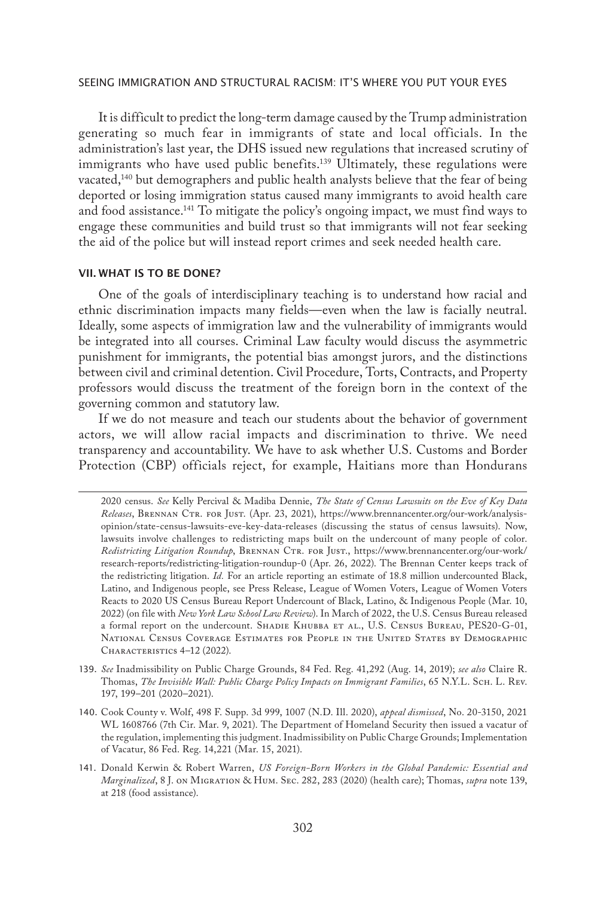It is difficult to predict the long-term damage caused by the Trump administration generating so much fear in immigrants of state and local officials. In the administration's last year, the DHS issued new regulations that increased scrutiny of immigrants who have used public benefits.<sup>139</sup> Ultimately, these regulations were vacated,<sup>140</sup> but demographers and public health analysts believe that the fear of being deported or losing immigration status caused many immigrants to avoid health care and food assistance.<sup>141</sup> To mitigate the policy's ongoing impact, we must find ways to engage these communities and build trust so that immigrants will not fear seeking the aid of the police but will instead report crimes and seek needed health care.

# VII. WHAT IS TO BE DONE?

One of the goals of interdisciplinary teaching is to understand how racial and ethnic discrimination impacts many fields—even when the law is facially neutral. Ideally, some aspects of immigration law and the vulnerability of immigrants would be integrated into all courses. Criminal Law faculty would discuss the asymmetric punishment for immigrants, the potential bias amongst jurors, and the distinctions between civil and criminal detention. Civil Procedure, Torts, Contracts, and Property professors would discuss the treatment of the foreign born in the context of the governing common and statutory law.

If we do not measure and teach our students about the behavior of government actors, we will allow racial impacts and discrimination to thrive. We need transparency and accountability. We have to ask whether U.S. Customs and Border Protection (CBP) officials reject, for example, Haitians more than Hondurans

<sup>2020</sup> census. *See* Kelly Percival & Madiba Dennie, *The State of Census Lawsuits on the Eve of Key Data Releases*, Brennan Ctr. for Just. (Apr. 23, 2021), https://www.brennancenter.org/our-work/analysisopinion/state-census-lawsuits-eve-key-data-releases (discussing the status of census lawsuits). Now, lawsuits involve challenges to redistricting maps built on the undercount of many people of color. Redistricting Litigation Roundup, BRENNAN CTR. FOR JUST., https://www.brennancenter.org/our-work/ research-reports/redistricting-litigation-roundup-0 (Apr. 26, 2022). The Brennan Center keeps track of the redistricting litigation. *Id.* For an article reporting an estimate of 18.8 million undercounted Black, Latino, and Indigenous people, see Press Release, League of Women Voters, League of Women Voters Reacts to 2020 US Census Bureau Report Undercount of Black, Latino, & Indigenous People (Mar. 10, 2022) (on file with *New York Law School Law Review*). In March of 2022, the U.S. Census Bureau released a formal report on the undercount. SHADIE KHUBBA ET AL., U.S. CENSUS BUREAU, PES20-G-01, NATIONAL CENSUS COVERAGE ESTIMATES FOR PEOPLE IN THE UNITED STATES BY DEMOGRAPHIC CHARACTERISTICS 4-12 (2022).

<sup>139.</sup> *See* Inadmissibility on Public Charge Grounds, 84 Fed. Reg. 41,292 (Aug. 14, 2019); *see also* Claire R. Thomas, *The Invisible Wall: Public Charge Policy Impacts on Immigrant Families*, 65 N.Y.L. Sch. L. Rev. 197, 199–201 (2020–2021).

<sup>140.</sup> Cook County v. Wolf, 498 F. Supp. 3d 999, 1007 (N.D. Ill. 2020), *appeal dismissed*, No. 20-3150, 2021 WL 1608766 (7th Cir. Mar. 9, 2021). The Department of Homeland Security then issued a vacatur of the regulation, implementing this judgment. Inadmissibility on Public Charge Grounds; Implementation of Vacatur, 86 Fed. Reg. 14,221 (Mar. 15, 2021).

<sup>141.</sup> Donald Kerwin & Robert Warren, *US Foreign-Born Workers in the Global Pandemic: Essential and Marginalized*, 8 J. on Migration & Hum. Sec. 282, 283 (2020) (health care); Thomas, *supra* note 139, at 218 (food assistance).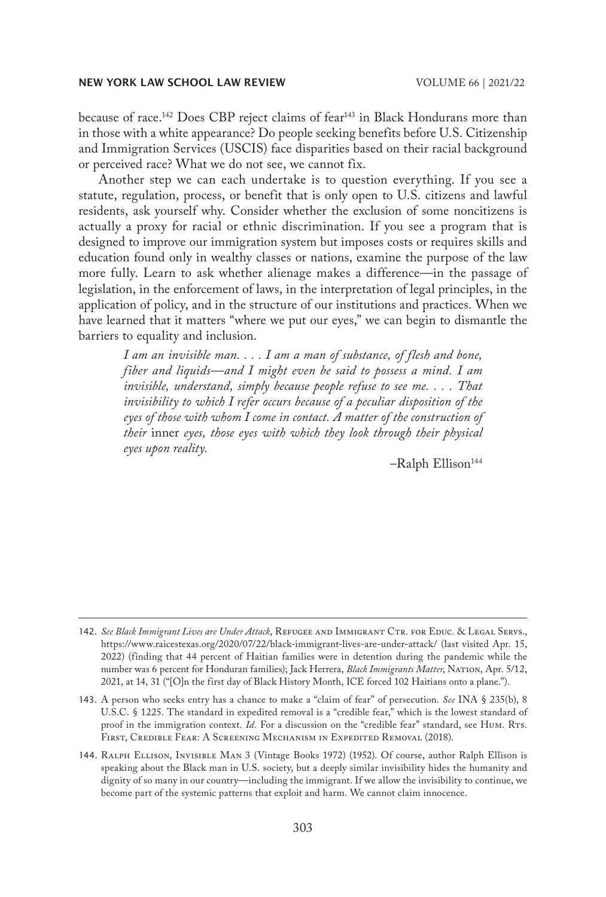because of race.<sup>142</sup> Does CBP reject claims of fear<sup>143</sup> in Black Hondurans more than in those with a white appearance? Do people seeking benefits before U.S. Citizenship and Immigration Services (USCIS) face disparities based on their racial background or perceived race? What we do not see, we cannot fix.

Another step we can each undertake is to question everything. If you see a statute, regulation, process, or benefit that is only open to U.S. citizens and lawful residents, ask yourself why. Consider whether the exclusion of some noncitizens is actually a proxy for racial or ethnic discrimination. If you see a program that is designed to improve our immigration system but imposes costs or requires skills and education found only in wealthy classes or nations, examine the purpose of the law more fully. Learn to ask whether alienage makes a difference—in the passage of legislation, in the enforcement of laws, in the interpretation of legal principles, in the application of policy, and in the structure of our institutions and practices. When we have learned that it matters "where we put our eyes," we can begin to dismantle the barriers to equality and inclusion.

*I am an invisible man. . . . I am a man of substance, of flesh and bone, fiber and liquids—and I might even be said to possess a mind. I am invisible, understand, simply because people refuse to see me. . . . That invisibility to which I refer occurs because of a peculiar disposition of the eyes of those with whom I come in contact. A matter of the construction of their* inner *eyes, those eyes with which they look through their physical eyes upon reality.*

-Ralph Ellison<sup>144</sup>

<sup>142.</sup> *See Black Immigrant Lives are Under Attack*, Refugee and Immigrant Ctr. for Educ. & Legal Servs., https://www.raicestexas.org/2020/07/22/black-immigrant-lives-are-under-attack/ (last visited Apr. 15, 2022) (finding that 44 percent of Haitian families were in detention during the pandemic while the number was 6 percent for Honduran families); Jack Herrera, *Black Immigrants Matter*, Nation, Apr. 5/12, 2021, at 14, 31 ("[O]n the first day of Black History Month, ICE forced 102 Haitians onto a plane.").

<sup>143.</sup> A person who seeks entry has a chance to make a "claim of fear" of persecution. *See* INA § 235(b), 8 U.S.C. § 1225. The standard in expedited removal is a "credible fear," which is the lowest standard of proof in the immigration context. *Id*. For a discussion on the "credible fear" standard, see Hum. Rrs. First, Credible Fear: A Screening Mechanism in Expedited Removal (2018).

<sup>144.</sup> Ralph Ellison, Invisible Man 3 (Vintage Books 1972) (1952). Of course, author Ralph Ellison is speaking about the Black man in U.S. society, but a deeply similar invisibility hides the humanity and dignity of so many in our country—including the immigrant. If we allow the invisibility to continue, we become part of the systemic patterns that exploit and harm. We cannot claim innocence.